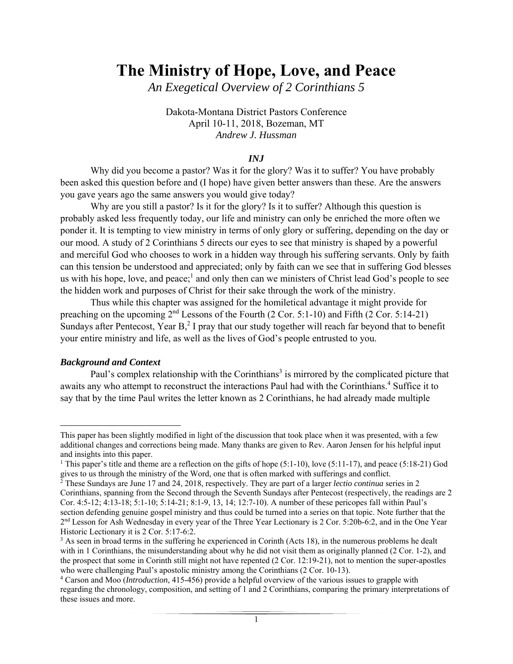# **The Ministry of Hope, Love, and Peace**

*An Exegetical Overview of 2 Corinthians 5* 

Dakota-Montana District Pastors Conference April 10-11, 2018, Bozeman, MT *Andrew J. Hussman* 

### *INJ*

Why did you become a pastor? Was it for the glory? Was it to suffer? You have probably been asked this question before and (I hope) have given better answers than these. Are the answers you gave years ago the same answers you would give today?

Why are you still a pastor? Is it for the glory? Is it to suffer? Although this question is probably asked less frequently today, our life and ministry can only be enriched the more often we ponder it. It is tempting to view ministry in terms of only glory or suffering, depending on the day or our mood. A study of 2 Corinthians 5 directs our eyes to see that ministry is shaped by a powerful and merciful God who chooses to work in a hidden way through his suffering servants. Only by faith can this tension be understood and appreciated; only by faith can we see that in suffering God blesses us with his hope, love, and peace;<sup>1</sup> and only then can we ministers of Christ lead God's people to see the hidden work and purposes of Christ for their sake through the work of the ministry.

Thus while this chapter was assigned for the homiletical advantage it might provide for preaching on the upcoming  $2<sup>nd</sup>$  Lessons of the Fourth (2 Cor. 5:1-10) and Fifth (2 Cor. 5:14-21) Sundays after Pentecost, Year  $B<sub>1</sub><sup>2</sup>$  I pray that our study together will reach far beyond that to benefit your entire ministry and life, as well as the lives of God's people entrusted to you.

#### *Background and Context*

Paul's complex relationship with the Corinthians<sup>3</sup> is mirrored by the complicated picture that awaits any who attempt to reconstruct the interactions Paul had with the Corinthians.<sup>4</sup> Suffice it to say that by the time Paul writes the letter known as 2 Corinthians, he had already made multiple

 This paper has been slightly modified in light of the discussion that took place when it was presented, with a few additional changes and corrections being made. Many thanks are given to Rev. Aaron Jensen for his helpful input and insights into this paper.

<sup>&</sup>lt;sup>1</sup> This paper's title and theme are a reflection on the gifts of hope (5:1-10), love (5:11-17), and peace (5:18-21) God gives to us through the ministry of the Word, one that is often marked with sufferings and conflict. 2 These Sundays are June 17 and 24, 2018, respectively. They are part of a larger *lectio continua* series in 2

Corinthians, spanning from the Second through the Seventh Sundays after Pentecost (respectively, the readings are 2 Cor. 4:5-12; 4:13-18; 5:1-10; 5:14-21; 8:1-9, 13, 14; 12:7-10). A number of these pericopes fall within Paul's section defending genuine gospel ministry and thus could be turned into a series on that topic. Note further that the 2nd Lesson for Ash Wednesday in every year of the Three Year Lectionary is 2 Cor. 5:20b-6:2, and in the One Year Historic Lectionary it is 2 Cor. 5:17-6:2.

<sup>&</sup>lt;sup>3</sup> As seen in broad terms in the suffering he experienced in Corinth (Acts 18), in the numerous problems he dealt with in 1 Corinthians, the misunderstanding about why he did not visit them as originally planned (2 Cor. 1-2), and the prospect that some in Corinth still might not have repented (2 Cor. 12:19-21), not to mention the super-apostles who were challenging Paul's apostolic ministry among the Corinthians (2 Cor. 10-13).

Carson and Moo (*Introduction*, 415-456) provide a helpful overview of the various issues to grapple with regarding the chronology, composition, and setting of 1 and 2 Corinthians, comparing the primary interpretations of these issues and more.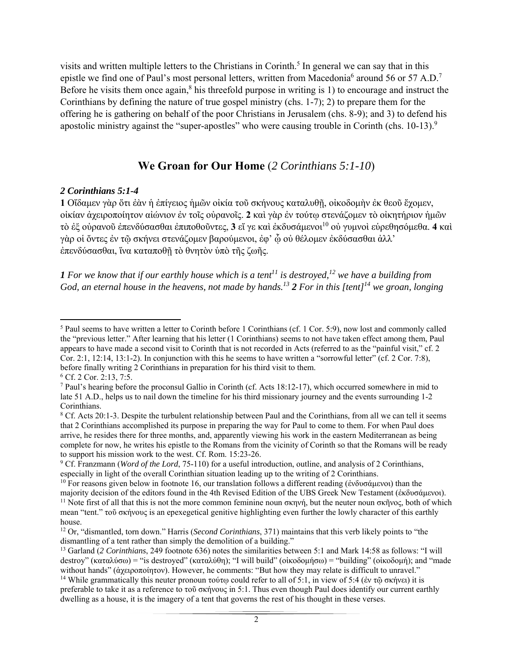visits and written multiple letters to the Christians in Corinth.<sup>5</sup> In general we can say that in this epistle we find one of Paul's most personal letters, written from Macedonia<sup>6</sup> around 56 or 57 A.D.<sup>7</sup> Before he visits them once again, $8$  his threefold purpose in writing is 1) to encourage and instruct the Corinthians by defining the nature of true gospel ministry (chs. 1-7); 2) to prepare them for the offering he is gathering on behalf of the poor Christians in Jerusalem (chs. 8-9); and 3) to defend his apostolic ministry against the "super-apostles" who were causing trouble in Corinth (chs. 10-13).<sup>9</sup>

# **We Groan for Our Home** (*2 Corinthians 5:1-10*)

### *2 Corinthians 5:1-4*

**1** Οἴδαμεν γὰρ ὅτι ἐὰν ἡ ἐπίγειος ἡμῶν οἰκία τοῦ σκήνους καταλυθῇ, οἰκοδομὴν ἐκ θεοῦ ἔχομεν, οἰκίαν ἀχειροποίητον αἰώνιον ἐν τοῖς οὐρανοῖς. **2** καὶ γὰρ ἐν τούτῳ στενάζομεν τὸ οἰκητήριον ἡμῶν τὸ ἐξ οὐρανοῦ ἐπενδύσασθαι ἐπιποθοῦντες, **3** εἴ γε καὶ ἐκδυσάμενοι10 οὐ γυμνοὶ εὑρεθησόμεθα. **4** καὶ γὰρ οἱ ὄντες ἐν τῷ σκήνει στενάζομεν βαρούμενοι, ἐφ' ᾧ οὐ θέλομεν ἐκδύσασθαι ἀλλ' ἐπενδύσασθαι, ἵνα καταποθῇ τὸ θνητὸν ὑπὸ τῆς ζωῆς.

**1** For we know that if our earthly house which is a tent<sup>11</sup> is destroyed,<sup>12</sup> we have a building from *God, an eternal house in the heavens, not made by hands.13 2 For in this [tent]14 we groan, longing* 

<sup>&</sup>lt;sup>5</sup> Paul seems to have written a letter to Corinth before 1 Corinthians (cf. 1 Cor. 5:9), now lost and commonly called the "previous letter." After learning that his letter (1 Corinthians) seems to not have taken effect among them, Paul appears to have made a second visit to Corinth that is not recorded in Acts (referred to as the "painful visit," cf. 2 Cor. 2:1, 12:14, 13:1-2). In conjunction with this he seems to have written a "sorrowful letter" (cf. 2 Cor. 7:8), before finally writing 2 Corinthians in preparation for his third visit to them.

<sup>6</sup> Cf. 2 Cor. 2:13, 7:5.

<sup>&</sup>lt;sup>7</sup> Paul's hearing before the proconsul Gallio in Corinth (cf. Acts 18:12-17), which occurred somewhere in mid to late 51 A.D., helps us to nail down the timeline for his third missionary journey and the events surrounding 1-2 Corinthians.

 $8$  Cf. Acts 20:1-3. Despite the turbulent relationship between Paul and the Corinthians, from all we can tell it seems that 2 Corinthians accomplished its purpose in preparing the way for Paul to come to them. For when Paul does arrive, he resides there for three months, and, apparently viewing his work in the eastern Mediterranean as being complete for now, he writes his epistle to the Romans from the vicinity of Corinth so that the Romans will be ready to support his mission work to the west. Cf. Rom. 15:23-26.

<sup>&</sup>lt;sup>9</sup> Cf. Franzmann (*Word of the Lord*, 75-110) for a useful introduction, outline, and analysis of 2 Corinthians, especially in light of the overall Corinthian situation leading up to the writing of 2 Corinthians.

<sup>&</sup>lt;sup>10</sup> For reasons given below in footnote 16, our translation follows a different reading (ἐνδυσάμενοι) than the majority decision of the editors found in the 4th Revised Edition of the UBS Greek New Testament (εκδυσάμενοι).<br><sup>11</sup> Note first of all that this is not the more common feminine noun σκηνή, but the neuter noun σκήνος, both mean "tent." τοῦ σκήνους is an epexegetical genitive highlighting even further the lowly character of this earthly house.

<sup>12</sup> Or, "dismantled, torn down." Harris (*Second Corinthians*, 371) maintains that this verb likely points to "the dismantling of a tent rather than simply the demolition of a building."

<sup>13</sup> Garland (*2 Corinthians*, 249 footnote 636) notes the similarities between 5:1 and Mark 14:58 as follows: "I will destroy" (καταλύσω) = "is destroyed" (καταλύθη); "I will build" (οἰκοδομήσω) = "building" (οἰκοδομή); and "made without hands" (ἀχειροποίητον). However, he comments: "But how they may relate is difficult to unravel." <sup>14</sup> While grammatically this neuter pronoun τούτω could refer to all of 5:1, in view of 5:4 (ἐν τῶ σκήνει) it is preferable to take it as a reference to τοῦ σκήνους in 5:1. Thus even though Paul does identify our current earthly dwelling as a house, it is the imagery of a tent that governs the rest of his thought in these verses.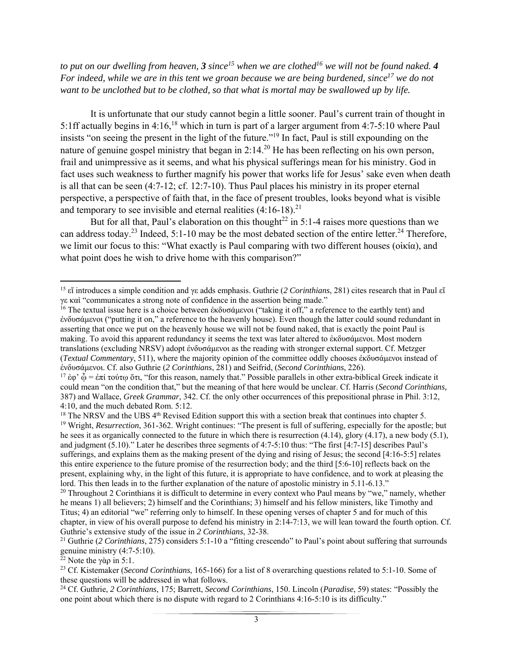*to put on our dwelling from heaven, 3 since*<sup>15</sup> when we are clothed<sup>16</sup> we will not be found naked. 4 *For indeed, while we are in this tent we groan because we are being burdened, since*<sup>17</sup> we do not *want to be unclothed but to be clothed, so that what is mortal may be swallowed up by life.* 

It is unfortunate that our study cannot begin a little sooner. Paul's current train of thought in 5:1ff actually begins in 4:16,<sup>18</sup> which in turn is part of a larger argument from 4:7-5:10 where Paul insists "on seeing the present in the light of the future."19 In fact, Paul is still expounding on the nature of genuine gospel ministry that began in  $2:14<sup>20</sup>$  He has been reflecting on his own person, frail and unimpressive as it seems, and what his physical sufferings mean for his ministry. God in fact uses such weakness to further magnify his power that works life for Jesus' sake even when death is all that can be seen (4:7-12; cf. 12:7-10). Thus Paul places his ministry in its proper eternal perspective, a perspective of faith that, in the face of present troubles, looks beyond what is visible and temporary to see invisible and eternal realities  $(4:16-18).^{21}$ 

But for all that, Paul's elaboration on this thought<sup>22</sup> in 5:1-4 raises more questions than we can address today.<sup>23</sup> Indeed, 5:1-10 may be the most debated section of the entire letter.<sup>24</sup> Therefore, we limit our focus to this: "What exactly is Paul comparing with two different houses (οἰκία), and what point does he wish to drive home with this comparison?"

<sup>22</sup> Note the γὰρ in 5:1.

 15 εἴ introduces a simple condition and γε adds emphasis. Guthrie (*2 Corinthians*, 281) cites research that in Paul εἴ γε καὶ "communicates a strong note of confidence in the assertion being made."

<sup>&</sup>lt;sup>16</sup> The textual issue here is a choice between ἐκδυσάμενοι ("taking it off," a reference to the earthly tent) and ἐνδυσάμενοι ("putting it on," a reference to the heavenly house). Even though the latter could sound redundant in asserting that once we put on the heavenly house we will not be found naked, that is exactly the point Paul is making. To avoid this apparent redundancy it seems the text was later altered to ἐκδυσάμενοι. Most modern translations (excluding NRSV) adopt ἐνδυσάμενοι as the reading with stronger external support. Cf. Metzger (*Textual Commentary*, 511), where the majority opinion of the committee oddly chooses ἐκδυσάμενοι instead of ἐνδυσάμενοι. Cf. also Guthrie (*2 Corinthians*, 281) and Seifrid, (*Second Corinthians*, 226).

<sup>&</sup>lt;sup>17</sup> ἐφ' ὦ = ἐπί τούτῳ ὅτι, "for this reason, namely that." Possible parallels in other extra-biblical Greek indicate it could mean "on the condition that," but the meaning of that here would be unclear. Cf. Harris (*Second Corinthians,*  387) and Wallace, *Greek Grammar*, 342. Cf. the only other occurrences of this prepositional phrase in Phil. 3:12, 4:10, and the much debated Rom. 5:12.

 $18$  The NRSV and the UBS  $4<sup>th</sup>$  Revised Edition support this with a section break that continues into chapter 5. <sup>19</sup> Wright, *Resurrection*, 361-362. Wright continues: "The present is full of suffering, especially for the apostle; but he sees it as organically connected to the future in which there is resurrection (4.14), glory (4.17), a new body (5.1), and judgment (5.10)." Later he describes three segments of 4:7-5:10 thus: "The first [4:7-15] describes Paul's sufferings, and explains them as the making present of the dying and rising of Jesus; the second [4:16-5:5] relates this entire experience to the future promise of the resurrection body; and the third [5:6-10] reflects back on the present, explaining why, in the light of this future, it is appropriate to have confidence, and to work at pleasing the lord. This then leads in to the further explanation of the nature of apostolic ministry in 5.11-6.13."

<sup>&</sup>lt;sup>20</sup> Throughout 2 Corinthians it is difficult to determine in every context who Paul means by "we," namely, whether he means 1) all believers; 2) himself and the Corinthians; 3) himself and his fellow ministers, like Timothy and Titus; 4) an editorial "we" referring only to himself. In these opening verses of chapter 5 and for much of this chapter, in view of his overall purpose to defend his ministry in 2:14-7:13, we will lean toward the fourth option. Cf. Guthrie's extensive study of the issue in *2 Corinthians*, 32-38.<br><sup>21</sup> Guthrie (*2 Corinthians*, 275) considers 5:1-10 a "fitting crescendo" to Paul's point about suffering that surrounds

genuine ministry (4:7-5:10).

<sup>23</sup> Cf. Kistemaker (*Second Corinthians*, 165-166) for a list of 8 overarching questions related to 5:1-10. Some of these questions will be addressed in what follows.

<sup>24</sup> Cf. Guthrie, *2 Corinthians*, 175; Barrett, *Second Corinthians*, 150. Lincoln (*Paradise*, 59) states: "Possibly the one point about which there is no dispute with regard to 2 Corinthians 4:16-5:10 is its difficulty."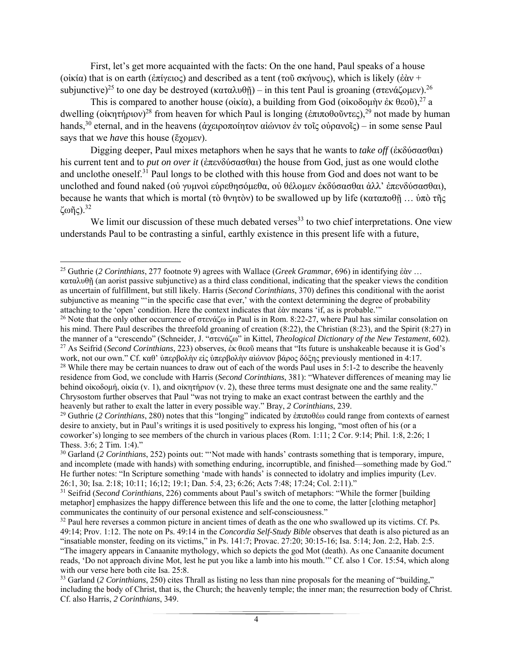First, let's get more acquainted with the facts: On the one hand, Paul speaks of a house (οἰκία) that is on earth (ἐπίγειος) and described as a tent (τοῦ σκήνους), which is likely (ἐὰν + subjunctive)<sup>25</sup> to one day be destroyed (καταλυθῆ) – in this tent Paul is groaning (στενάζομεν).<sup>26</sup>

This is compared to another house (οἰκία), a building from God (οἰκοδομὴν ἐκ θεοῦ),<sup>27</sup> a dwelling (οἰκητήριον)<sup>28</sup> from heaven for which Paul is longing (ἐπιποθοῦντες),<sup>29</sup> not made by human hands,<sup>30</sup> eternal, and in the heavens (ἀχειροποίητον αἰώνιον ἐν τοῖς οὐρανοῖς) – in some sense Paul says that we *have* this house (ἔχομεν).

Digging deeper, Paul mixes metaphors when he says that he wants to *take off* (ἐκδύσασθαι) his current tent and to *put on over it* (ἐπενδύσασθαι) the house from God, just as one would clothe and unclothe oneself.<sup>31</sup> Paul longs to be clothed with this house from God and does not want to be unclothed and found naked (οὐ γυμνοὶ εὑρεθησόμεθα, οὐ θέλομεν ἐκδύσασθαι ἀλλ' ἐπενδύσασθαι), because he wants that which is mortal (τὸ θνητὸν) to be swallowed up by life (καταποθῇ … ὑπὸ τῆς ζωῆς).32

We limit our discussion of these much debated verses<sup>33</sup> to two chief interpretations. One view understands Paul to be contrasting a sinful, earthly existence in this present life with a future,

<sup>25</sup> Guthrie (*2 Corinthians*, 277 footnote 9) agrees with Wallace (*Greek Grammar*, 696) in identifying ἐὰν … καταλυθῇ (an aorist passive subjunctive) as a third class conditional, indicating that the speaker views the condition as uncertain of fulfillment, but still likely. Harris (*Second Corinthians*, 370) defines this conditional with the aorist subjunctive as meaning "'in the specific case that ever,' with the context determining the degree of probability attaching to the 'open' condition. Here the context indicates that ἐὰν means 'if, as is probable.'"

<sup>&</sup>lt;sup>26</sup> Note that the only other occurrence of στενάζω in Paul is in Rom. 8:22-27, where Paul has similar consolation on his mind. There Paul describes the threefold groaning of creation (8:22), the Christian (8:23), and the Spirit (8:27) in the manner of a "crescendo" (Schneider, J. "στενάζω" in Kittel, *Theological Dictionary of the New Testament*, 602). 27 As Seifrid (*Second Corinthians*, 223) observes, ἐκ θεοῦ means that "Its future is unshakeable because it is God's work, not our own." Cf. καθ' ὑπερβολὴν εἰς ὑπερβολὴν αἰώνιον βάρος δόξης previously mentioned in 4:17. <sup>28</sup> While there may be certain nuances to draw out of each of the words Paul uses in 5:1-2 to describe the heavenly residence from God, we conclude with Harris (*Second Corinthians*, 381): "Whatever differences of meaning may lie behind οἰκοδομή, οἰκία (v. 1), and οἰκητήριον (v. 2), these three terms must designate one and the same reality."

Chrysostom further observes that Paul "was not trying to make an exact contrast between the earthly and the heavenly but rather to exalt the latter in every possible way." Bray, *2 Corinthians*, 239.

<sup>&</sup>lt;sup>29</sup> Guthrie (*2 Corinthians*, 280) notes that this "longing" indicated by ἐπιποθέω could range from contexts of earnest desire to anxiety, but in Paul's writings it is used positively to express his longing, "most often of his (or a coworker's) longing to see members of the church in various places (Rom. 1:11; 2 Cor. 9:14; Phil. 1:8, 2:26; 1 Thess. 3:6; 2 Tim. 1:4)."

<sup>30</sup> Garland (*2 Corinthians*, 252) points out: "'Not made with hands' contrasts something that is temporary, impure, and incomplete (made with hands) with something enduring, incorruptible, and finished—something made by God." He further notes: "In Scripture something 'made with hands' is connected to idolatry and implies impurity (Lev. 26:1, 30; Isa. 2:18; 10:11; 16;12; 19:1; Dan. 5:4, 23; 6:26; Acts 7:48; 17:24; Col. 2:11)."

<sup>31</sup> Seifrid (*Second Corinthians*, 226) comments about Paul's switch of metaphors: "While the former [building metaphor] emphasizes the happy difference between this life and the one to come, the latter [clothing metaphor] communicates the continuity of our personal existence and self-consciousness."

<sup>&</sup>lt;sup>32</sup> Paul here reverses a common picture in ancient times of death as the one who swallowed up its victims. Cf. Ps. 49:14; Prov. 1:12. The note on Ps. 49:14 in the *Concordia Self-Study Bible* observes that death is also pictured as an "insatiable monster, feeding on its victims," in Ps. 141:7; Provac. 27:20; 30:15-16; Isa. 5:14; Jon. 2:2, Hab. 2:5. "The imagery appears in Canaanite mythology, which so depicts the god Mot (death). As one Canaanite document reads, 'Do not approach divine Mot, lest he put you like a lamb into his mouth.'" Cf. also 1 Cor. 15:54, which along with our verse here both cite Isa. 25:8.

<sup>33</sup> Garland (*2 Corinthians*, 250) cites Thrall as listing no less than nine proposals for the meaning of "building," including the body of Christ, that is, the Church; the heavenly temple; the inner man; the resurrection body of Christ. Cf. also Harris, *2 Corinthians*, 349.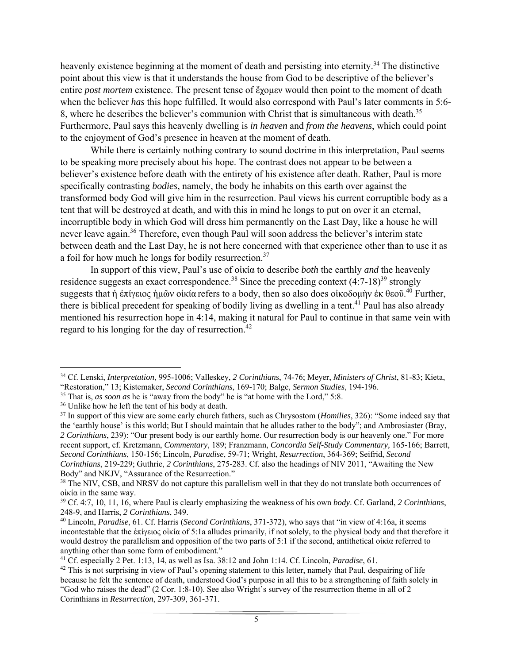heavenly existence beginning at the moment of death and persisting into eternity.<sup>34</sup> The distinctive point about this view is that it understands the house from God to be descriptive of the believer's entire *post mortem* existence. The present tense of ἔχομεν would then point to the moment of death when the believer *has* this hope fulfilled. It would also correspond with Paul's later comments in 5:6- 8, where he describes the believer's communion with Christ that is simultaneous with death.<sup>35</sup> Furthermore, Paul says this heavenly dwelling is *in heaven* and *from the heavens*, which could point to the enjoyment of God's presence in heaven at the moment of death.

While there is certainly nothing contrary to sound doctrine in this interpretation, Paul seems to be speaking more precisely about his hope. The contrast does not appear to be between a believer's existence before death with the entirety of his existence after death. Rather, Paul is more specifically contrasting *bodies*, namely, the body he inhabits on this earth over against the transformed body God will give him in the resurrection. Paul views his current corruptible body as a tent that will be destroyed at death, and with this in mind he longs to put on over it an eternal, incorruptible body in which God will dress him permanently on the Last Day, like a house he will never leave again.<sup>36</sup> Therefore, even though Paul will soon address the believer's interim state between death and the Last Day, he is not here concerned with that experience other than to use it as a foil for how much he longs for bodily resurrection.37

 In support of this view, Paul's use of οἰκία to describe *both* the earthly *and* the heavenly residence suggests an exact correspondence.<sup>38</sup> Since the preceding context  $(4:7-18)^{39}$  strongly suggests that ή ἐπίγειος ἡμῶν οἰκία refers to a body, then so also does οἰκοδομὴν ἐκ θεοῦ.<sup>40</sup> Further, there is biblical precedent for speaking of bodily living as dwelling in a tent.<sup>41</sup> Paul has also already mentioned his resurrection hope in 4:14, making it natural for Paul to continue in that same vein with regard to his longing for the day of resurrection.<sup>42</sup>

 34 Cf. Lenski, *Interpretation*, 995-1006; Valleskey, *2 Corinthians*, 74-76; Meyer, *Ministers of Christ*, 81-83; Kieta,

<sup>&</sup>quot;Restoration," 13; Kistemaker, *Second Corinthians*, 169-170; Balge, *Sermon Studies*, 194-196. 35 That is, *as soon as* he is "away from the body" he is "at home with the Lord," 5:8.

<sup>36</sup> Unlike how he left the tent of his body at death.

<sup>&</sup>lt;sup>37</sup> In support of this view are some early church fathers, such as Chrysostom (*Homilies*, 326): "Some indeed say that the 'earthly house' is this world; But I should maintain that he alludes rather to the body"; and Ambrosiaster (Bray, *2 Corinthians*, 239): "Our present body is our earthly home. Our resurrection body is our heavenly one." For more recent support, cf. Kretzmann, *Commentary*, 189; Franzmann, *Concordia Self-Study Commentary,* 165-166; Barrett, *Second Corinthians*, 150-156; Lincoln, *Paradise*, 59-71; Wright, *Resurrection*, 364-369; Seifrid, *Second Corinthians*, 219-229; Guthrie, *2 Corinthians*, 275-283. Cf. also the headings of NIV 2011, "Awaiting the New Body" and NKJV, "Assurance of the Resurrection."

<sup>&</sup>lt;sup>38</sup> The NIV, CSB, and NRSV do not capture this parallelism well in that they do not translate both occurrences of οἰκία in the same way.

<sup>39</sup> Cf. 4:7, 10, 11, 16, where Paul is clearly emphasizing the weakness of his own *body*. Cf. Garland, *2 Corinthians*, 248-9, and Harris, *2 Corinthians*, 349.

<sup>40</sup> Lincoln, *Paradise*, 61. Cf. Harris (*Second Corinthians*, 371-372), who says that "in view of 4:16a, it seems incontestable that the ἐπίγειος οἰκία of 5:1a alludes primarily, if not solely, to the physical body and that therefore it would destroy the parallelism and opposition of the two parts of 5:1 if the second, antithetical οἰκία referred to anything other than some form of embodiment."

<sup>41</sup> Cf. especially 2 Pet. 1:13, 14, as well as Isa. 38:12 and John 1:14. Cf. Lincoln, *Paradise*, 61.

 $42$  This is not surprising in view of Paul's opening statement to this letter, namely that Paul, despairing of life because he felt the sentence of death, understood God's purpose in all this to be a strengthening of faith solely in "God who raises the dead" (2 Cor. 1:8-10). See also Wright's survey of the resurrection theme in all of 2 Corinthians in *Resurrection*, 297-309, 361-371.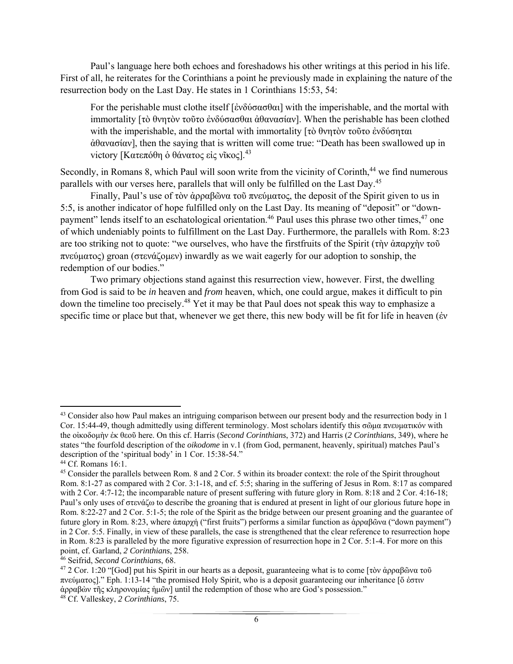Paul's language here both echoes and foreshadows his other writings at this period in his life. First of all, he reiterates for the Corinthians a point he previously made in explaining the nature of the resurrection body on the Last Day. He states in 1 Corinthians 15:53, 54:

For the perishable must clothe itself [ἐνδύσασθαι] with the imperishable, and the mortal with immortality [τὸ θνητὸν τοῦτο ἐνδύσασθαι ἀθανασίαν]. When the perishable has been clothed with the imperishable, and the mortal with immortality [τὸ θνητὸν τοῦτο ἐνδύσηται ἀθανασίαν], then the saying that is written will come true: "Death has been swallowed up in victory [Κατεπόθη ὁ θάνατος εἰς νῖκος].<sup>43</sup>

Secondly, in Romans 8, which Paul will soon write from the vicinity of Corinth,<sup>44</sup> we find numerous parallels with our verses here, parallels that will only be fulfilled on the Last Day.<sup>45</sup>

Finally, Paul's use of τὸν ἀρραβῶνα τοῦ πνεύματος, the deposit of the Spirit given to us in 5:5, is another indicator of hope fulfilled only on the Last Day. Its meaning of "deposit" or "downpayment" lends itself to an eschatological orientation.<sup>46</sup> Paul uses this phrase two other times,<sup>47</sup> one of which undeniably points to fulfillment on the Last Day. Furthermore, the parallels with Rom. 8:23 are too striking not to quote: "we ourselves, who have the firstfruits of the Spirit (τὴν ἀπαρχὴν τοῦ πνεύματος) groan (στενάζομεν) inwardly as we wait eagerly for our adoption to sonship, the redemption of our bodies."

Two primary objections stand against this resurrection view, however. First, the dwelling from God is said to be *in* heaven and *from* heaven, which, one could argue, makes it difficult to pin down the timeline too precisely.48 Yet it may be that Paul does not speak this way to emphasize a specific time or place but that, whenever we get there, this new body will be fit for life in heaven (έν

<sup>&</sup>lt;sup>43</sup> Consider also how Paul makes an intriguing comparison between our present body and the resurrection body in 1 Cor. 15:44-49, though admittedly using different terminology. Most scholars identify this σῶμα πνευματικόν with the οἰκοδομὴν ἐκ θεοῦ here. On this cf. Harris (*Second Corinthians*, 372) and Harris (*2 Corinthians*, 349), where he states "the fourfold description of the *oikodome* in v.1 (from God, permanent, heavenly, spiritual) matches Paul's description of the 'spiritual body' in 1 Cor. 15:38-54."

<sup>44</sup> Cf. Romans 16:1.

<sup>&</sup>lt;sup>45</sup> Consider the parallels between Rom. 8 and 2 Cor. 5 within its broader context: the role of the Spirit throughout Rom. 8:1-27 as compared with 2 Cor. 3:1-18, and cf. 5:5; sharing in the suffering of Jesus in Rom. 8:17 as compared with 2 Cor. 4:7-12; the incomparable nature of present suffering with future glory in Rom. 8:18 and 2 Cor. 4:16-18; Paul's only uses of στενάζω to describe the groaning that is endured at present in light of our glorious future hope in Rom. 8:22-27 and 2 Cor. 5:1-5; the role of the Spirit as the bridge between our present groaning and the guarantee of future glory in Rom. 8:23, where ἀπαρχή ("first fruits") performs a similar function as ἀρραβῶνα ("down payment") in 2 Cor. 5:5. Finally, in view of these parallels, the case is strengthened that the clear reference to resurrection hope in Rom. 8:23 is paralleled by the more figurative expression of resurrection hope in 2 Cor. 5:1-4. For more on this point, cf. Garland, *2 Corinthians*, 258.

<sup>46</sup> Seifrid, *Second Corinthians*, 68.

<sup>&</sup>lt;sup>47</sup> 2 Cor. 1:20 "[God] put his Spirit in our hearts as a deposit, guaranteeing what is to come [τὸν ἀρραβῶνα τοῦ πνεύματος]." Eph. 1:13-14 "the promised Holy Spirit, who is a deposit guaranteeing our inheritance [ὅ ἐστιν ἀρραβὼν τῆς κληρονομίας ἡμῶν] until the redemption of those who are God's possession."

<sup>48</sup> Cf. Valleskey, *2 Corinthians*, 75.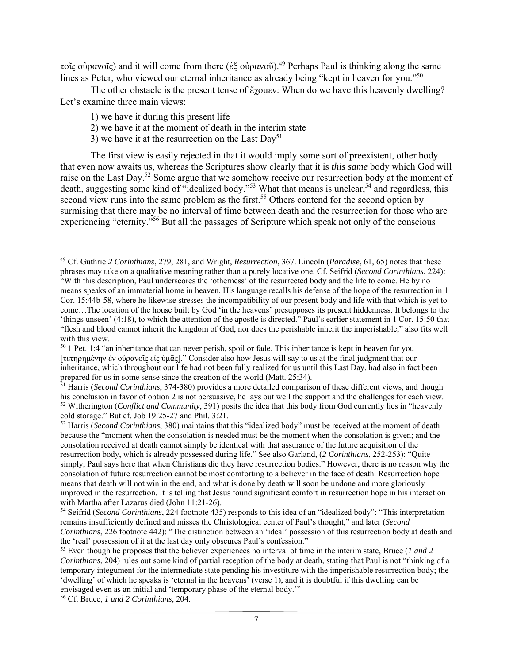τοῖς οὐρανοῖς) and it will come from there (ἐξ οὐρανοῦ).49 Perhaps Paul is thinking along the same lines as Peter, who viewed our eternal inheritance as already being "kept in heaven for you."<sup>50</sup>

 The other obstacle is the present tense of ἔχομεν: When do we have this heavenly dwelling? Let's examine three main views:

1) we have it during this present life

- 2) we have it at the moment of death in the interim state
- 3) we have it at the resurrection on the Last  $Day^{51}$

 The first view is easily rejected in that it would imply some sort of preexistent, other body that even now awaits us, whereas the Scriptures show clearly that it is *this same* body which God will raise on the Last Day.<sup>52</sup> Some argue that we somehow receive our resurrection body at the moment of death, suggesting some kind of "idealized body."<sup>53</sup> What that means is unclear,<sup>54</sup> and regardless, this second view runs into the same problem as the first.<sup>55</sup> Others contend for the second option by surmising that there may be no interval of time between death and the resurrection for those who are experiencing "eternity."56 But all the passages of Scripture which speak not only of the conscious

56 Cf. Bruce, *1 and 2 Corinthians*, 204.

<sup>49</sup> Cf. Guthrie *2 Corinthians*, 279, 281, and Wright, *Resurrection*, 367. Lincoln (*Paradise*, 61, 65) notes that these phrases may take on a qualitative meaning rather than a purely locative one. Cf. Seifrid (*Second Corinthians*, 224): "With this description, Paul underscores the 'otherness' of the resurrected body and the life to come. He by no means speaks of an immaterial home in heaven. His language recalls his defense of the hope of the resurrection in 1 Cor. 15:44b-58, where he likewise stresses the incompatibility of our present body and life with that which is yet to come…The location of the house built by God 'in the heavens' presupposes its present hiddenness. It belongs to the 'things unseen' (4:18), to which the attention of the apostle is directed." Paul's earlier statement in 1 Cor. 15:50 that "flesh and blood cannot inherit the kingdom of God, nor does the perishable inherit the imperishable," also fits well with this view.

<sup>&</sup>lt;sup>50</sup> 1 Pet. 1:4 "an inheritance that can never perish, spoil or fade. This inheritance is kept in heaven for you [τετηρημένην ἐν οὐρανοῖς εἰς ὑμᾶς]." Consider also how Jesus will say to us at the final judgment that our inheritance, which throughout our life had not been fully realized for us until this Last Day, had also in fact been prepared for us in some sense since the creation of the world (Matt. 25:34).

<sup>51</sup> Harris (*Second Corinthians*, 374-380) provides a more detailed comparison of these different views, and though his conclusion in favor of option 2 is not persuasive, he lays out well the support and the challenges for each view. 52 Witherington (*Conflict and Community*, 391) posits the idea that this body from God currently lies in "heavenly cold storage." But cf. Job 19:25-27 and Phil. 3:21.

<sup>53</sup> Harris (*Second Corinthians*, 380) maintains that this "idealized body" must be received at the moment of death because the "moment when the consolation is needed must be the moment when the consolation is given; and the consolation received at death cannot simply be identical with that assurance of the future acquisition of the resurrection body, which is already possessed during life." See also Garland, (*2 Corinthians*, 252-253): "Quite simply, Paul says here that when Christians die they have resurrection bodies." However, there is no reason why the consolation of future resurrection cannot be most comforting to a believer in the face of death. Resurrection hope means that death will not win in the end, and what is done by death will soon be undone and more gloriously improved in the resurrection. It is telling that Jesus found significant comfort in resurrection hope in his interaction with Martha after Lazarus died (John 11:21-26).

<sup>54</sup> Seifrid (*Second Corinthians*, 224 footnote 435) responds to this idea of an "idealized body": "This interpretation remains insufficiently defined and misses the Christological center of Paul's thought," and later (*Second Corinthians*, 226 footnote 442): "The distinction between an 'ideal' possession of this resurrection body at death and the 'real' possession of it at the last day only obscures Paul's confession." 55 Even though he proposes that the believer experiences no interval of time in the interim state, Bruce (*1 and 2* 

*Corinthians*, 204) rules out some kind of partial reception of the body at death, stating that Paul is not "thinking of a temporary integument for the intermediate state pending his investiture with the imperishable resurrection body; the 'dwelling' of which he speaks is 'eternal in the heavens' (verse 1), and it is doubtful if this dwelling can be envisaged even as an initial and 'temporary phase of the eternal body.'"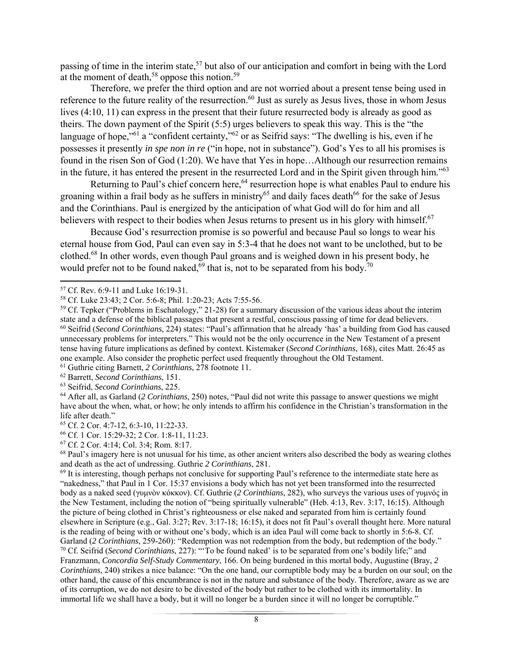passing of time in the interim state,<sup>57</sup> but also of our anticipation and comfort in being with the Lord at the moment of death,<sup>58</sup> oppose this notion.<sup>59</sup>

 Therefore, we prefer the third option and are not worried about a present tense being used in reference to the future reality of the resurrection.<sup>60</sup> Just as surely as Jesus lives, those in whom Jesus lives (4:10, 11) can express in the present that their future resurrected body is already as good as theirs. The down payment of the Spirit (5:5) urges believers to speak this way. This is the "the language of hope,<sup>"61</sup> a "confident certainty,"<sup>62</sup> or as Seifrid says: "The dwelling is his, even if he possesses it presently *in spe non in re* ("in hope, not in substance"). God's Yes to all his promises is found in the risen Son of God (1:20). We have that Yes in hope…Although our resurrection remains in the future, it has entered the present in the resurrected Lord and in the Spirit given through him."<sup>63</sup>

Returning to Paul's chief concern here,<sup>64</sup> resurrection hope is what enables Paul to endure his groaning within a frail body as he suffers in ministry<sup>65</sup> and daily faces death<sup>66</sup> for the sake of Jesus and the Corinthians. Paul is energized by the anticipation of what God will do for him and all believers with respect to their bodies when Jesus returns to present us in his glory with himself.<sup>67</sup>

 Because God's resurrection promise is so powerful and because Paul so longs to wear his eternal house from God, Paul can even say in 5:3-4 that he does not want to be unclothed, but to be clothed.68 In other words, even though Paul groans and is weighed down in his present body, he would prefer not to be found naked,<sup>69</sup> that is, not to be separated from his body.<sup>70</sup>

61 Guthrie citing Barnett, *2 Corinthians*, 278 footnote 11.

62 Barrett, *Second Corinthians*, 151.

 $68$  Paul's imagery here is not unusual for his time, as other ancient writers also described the body as wearing clothes and death as the act of undressing. Guthrie *2 Corinthians*, 281.

 $69$  It is interesting, though perhaps not conclusive for supporting Paul's reference to the intermediate state here as "nakedness," that Paul in 1 Cor. 15:37 envisions a body which has not yet been transformed into the resurrected body as a naked seed (γυμνὸν κόκκον). Cf. Guthrie (*2 Corinthians*, 282), who surveys the various uses of γυμνός in the New Testament, including the notion of "being spiritually vulnerable" (Heb. 4:13, Rev. 3:17, 16:15). Although the picture of being clothed in Christ's righteousness or else naked and separated from him is certainly found elsewhere in Scripture (e.g., Gal. 3:27; Rev. 3:17-18; 16:15), it does not fit Paul's overall thought here. More natural is the reading of being with or without one's body, which is an idea Paul will come back to shortly in 5:6-8. Cf. Garland (*2 Corinthians*, 259-260): "Redemption was not redemption from the body, but redemption of the body." 70 Cf. Seifrid (*Second Corinthians*, 227): "'To be found naked' is to be separated from one's bodily life;" and Franzmann, *Concordia Self-Study Commentary*, 166. On being burdened in this mortal body, Augustine (Bray, *2 Corinthians*, 240) strikes a nice balance: "On the one hand, our corruptible body may be a burden on our soul; on the other hand, the cause of this encumbrance is not in the nature and substance of the body. Therefore, aware as we are of its corruption, we do not desire to be divested of the body but rather to be clothed with its immortality. In immortal life we shall have a body, but it will no longer be a burden since it will no longer be corruptible."

 57 Cf. Rev. 6:9-11 and Luke 16:19-31.

<sup>58</sup> Cf. Luke 23:43; 2 Cor. 5:6-8; Phil. 1:20-23; Acts 7:55-56.

<sup>&</sup>lt;sup>59</sup> Cf. Tepker ("Problems in Eschatology," 21-28) for a summary discussion of the various ideas about the interim state and a defense of the biblical passages that present a restful, conscious passing of time for dead believers. 60 Seifrid (*Second Corinthians*, 224) states: "Paul's affirmation that he already 'has' a building from God has caused unnecessary problems for interpreters." This would not be the only occurrence in the New Testament of a present tense having future implications as defined by context. Kistemaker (*Second Corinthians*, 168), cites Matt. 26:45 as one example. Also consider the prophetic perfect used frequently throughout the Old Testament.

<sup>63</sup> Seifrid, *Second Corinthians*, 225.

<sup>64</sup> After all, as Garland (*2 Corinthians*, 250) notes, "Paul did not write this passage to answer questions we might have about the when, what, or how; he only intends to affirm his confidence in the Christian's transformation in the life after death."

<sup>65</sup> Cf. 2 Cor. 4:7-12, 6:3-10, 11:22-33.

<sup>66</sup> Cf. 1 Cor. 15:29-32; 2 Cor. 1:8-11, 11:23.

<sup>67</sup> Cf. 2 Cor. 4:14; Col. 3:4; Rom. 8:17.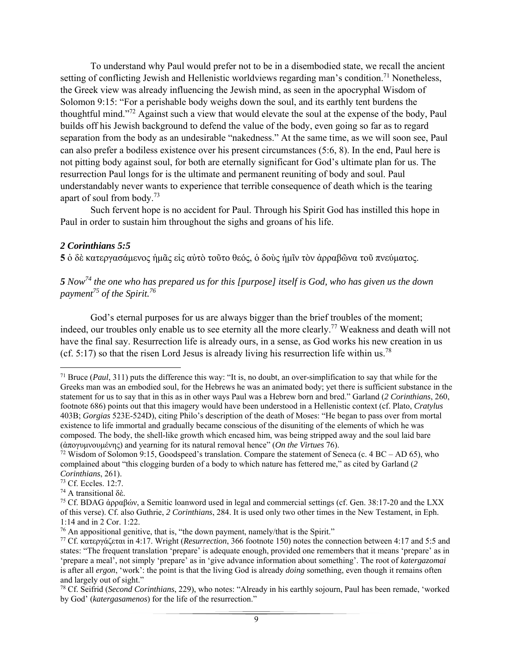To understand why Paul would prefer not to be in a disembodied state, we recall the ancient setting of conflicting Jewish and Hellenistic worldviews regarding man's condition.<sup>71</sup> Nonetheless, the Greek view was already influencing the Jewish mind, as seen in the apocryphal Wisdom of Solomon 9:15: "For a perishable body weighs down the soul, and its earthly tent burdens the thoughtful mind."72 Against such a view that would elevate the soul at the expense of the body, Paul builds off his Jewish background to defend the value of the body, even going so far as to regard separation from the body as an undesirable "nakedness." At the same time, as we will soon see, Paul can also prefer a bodiless existence over his present circumstances (5:6, 8). In the end, Paul here is not pitting body against soul, for both are eternally significant for God's ultimate plan for us. The resurrection Paul longs for is the ultimate and permanent reuniting of body and soul. Paul understandably never wants to experience that terrible consequence of death which is the tearing apart of soul from body.73

 Such fervent hope is no accident for Paul. Through his Spirit God has instilled this hope in Paul in order to sustain him throughout the sighs and groans of his life.

### *2 Corinthians 5:5*

**5** ὁ δὲ κατεργασάμενος ἡμᾶς εἰς αὐτὸ τοῦτο θεός, ὁ δοὺς ἡμῖν τὸν ἀρραβῶνα τοῦ πνεύματος.

*5 Now74 the one who has prepared us for this [purpose] itself is God, who has given us the down payment75 of the Spirit.76*

 God's eternal purposes for us are always bigger than the brief troubles of the moment; indeed, our troubles only enable us to see eternity all the more clearly.<sup>77</sup> Weakness and death will not have the final say. Resurrection life is already ours, in a sense, as God works his new creation in us (cf. 5:17) so that the risen Lord Jesus is already living his resurrection life within us.<sup>78</sup>

 71 Bruce (*Paul*, 311) puts the difference this way: "It is, no doubt, an over-simplification to say that while for the Greeks man was an embodied soul, for the Hebrews he was an animated body; yet there is sufficient substance in the statement for us to say that in this as in other ways Paul was a Hebrew born and bred." Garland (*2 Corinthians*, 260, footnote 686) points out that this imagery would have been understood in a Hellenistic context (cf. Plato, *Cratylus* 403B; *Gorgias* 523E-524D), citing Philo's description of the death of Moses: "He began to pass over from mortal existence to life immortal and gradually became conscious of the disuniting of the elements of which he was composed. The body, the shell-like growth which encased him, was being stripped away and the soul laid bare (ἀπογυμνουμένης) and yearning for its natural removal hence" (*On the Virtues* 76).

<sup>&</sup>lt;sup>72</sup> Wisdom of Solomon 9:15, Goodspeed's translation. Compare the statement of Seneca (c. 4 BC – AD 65), who complained about "this clogging burden of a body to which nature has fettered me," as cited by Garland (*2 Corinthians*, 261).

<sup>73</sup> Cf. Eccles. 12:7.

<sup>74</sup> A transitional δὲ.

<sup>&</sup>lt;sup>75</sup> Cf. BDAG άρραβών, a Semitic loanword used in legal and commercial settings (cf. Gen. 38:17-20 and the LXX of this verse). Cf. also Guthrie, *2 Corinthians*, 284. It is used only two other times in the New Testament, in Eph.

<sup>1:14</sup> and in 2 Cor. 1:22.<br><sup>76</sup> An appositional genitive, that is, "the down payment, namely/that is the Spirit."

<sup>&</sup>lt;sup>77</sup> Cf. κατεργάζεται in 4:17. Wright (*Resurrection*, 366 footnote 150) notes the connection between 4:17 and 5:5 and states: "The frequent translation 'prepare' is adequate enough, provided one remembers that it means 'prepare' as in 'prepare a meal', not simply 'prepare' as in 'give advance information about something'. The root of *katergazomai*  is after all *ergon*, 'work': the point is that the living God is already *doing* something, even though it remains often and largely out of sight."

<sup>78</sup> Cf. Seifrid (*Second Corinthians*, 229), who notes: "Already in his earthly sojourn, Paul has been remade, 'worked by God' (*katergasamenos*) for the life of the resurrection."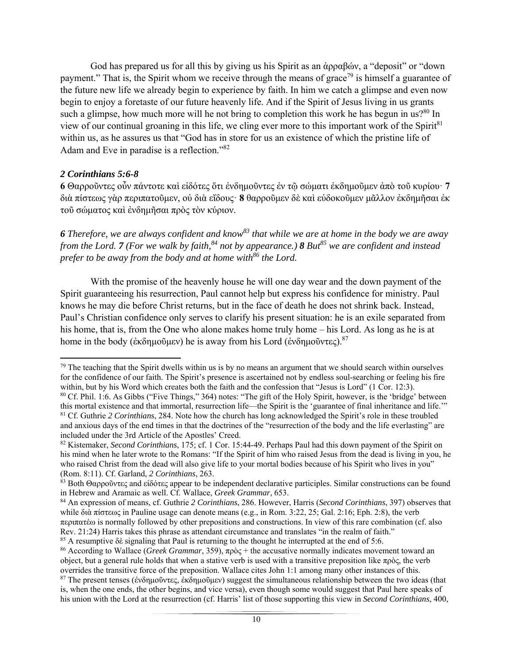God has prepared us for all this by giving us his Spirit as an ἀρραβών, a "deposit" or "down payment." That is, the Spirit whom we receive through the means of grace<sup>79</sup> is himself a guarantee of the future new life we already begin to experience by faith. In him we catch a glimpse and even now begin to enjoy a foretaste of our future heavenly life. And if the Spirit of Jesus living in us grants such a glimpse, how much more will he not bring to completion this work he has begun in us? $80 \text{ In }$ view of our continual groaning in this life, we cling ever more to this important work of the Spirit<sup>81</sup> within us, as he assures us that "God has in store for us an existence of which the pristine life of Adam and Eve in paradise is a reflection."82

### *2 Corinthians 5:6-8*

**6** Θαρροῦντες οὖν πάντοτε καὶ εἰδότες ὅτι ἐνδημοῦντες ἐν τῷ σώματι ἐκδημοῦμεν ἀπὸ τοῦ κυρίουꞏ **7**  διὰ πίστεως γὰρ περιπατοῦμεν, οὐ διὰ εἴδουςꞏ **8** θαρροῦμεν δὲ καὶ εὐδοκοῦμεν μᾶλλον ἐκδημῆσαι ἐκ τοῦ σώματος καὶ ἐνδημῆσαι πρὸς τὸν κύριον.

*6 Therefore, we are always confident and know83 that while we are at home in the body we are away from the Lord.* **7** (For we walk by faith,<sup>84</sup> not by appearance.) **8** But<sup>85</sup> we are confident and instead *prefer to be away from the body and at home with*<sup>86</sup> the Lord.

 With the promise of the heavenly house he will one day wear and the down payment of the Spirit guaranteeing his resurrection, Paul cannot help but express his confidence for ministry. Paul knows he may die before Christ returns, but in the face of death he does not shrink back. Instead, Paul's Christian confidence only serves to clarify his present situation: he is an exile separated from his home, that is, from the One who alone makes home truly home – his Lord. As long as he is at home in the body (ἐκδημοῦμεν) he is away from his Lord (ἐνδημοῦντες).<sup>87</sup>

  $79$  The teaching that the Spirit dwells within us is by no means an argument that we should search within ourselves for the confidence of our faith. The Spirit's presence is ascertained not by endless soul-searching or feeling his fire within, but by his Word which creates both the faith and the confession that "Jesus is Lord" (1 Cor. 12:3).

<sup>80</sup> Cf. Phil. 1:6. As Gibbs ("Five Things," 364) notes: "The gift of the Holy Spirit, however, is the 'bridge' between this mortal existence and that immortal, resurrection life—the Spirit is the 'guarantee of final inheritance and life." 81 Cf. Guthrie *2 Corinthians*, 284. Note how the church has long acknowledged the Spirit's role in these troubled and anxious days of the end times in that the doctrines of the "resurrection of the body and the life everlasting" are included under the 3rd Article of the Apostles' Creed.

<sup>82</sup> Kistemaker, *Second Corinthians*, 175; cf. 1 Cor. 15:44-49. Perhaps Paul had this down payment of the Spirit on his mind when he later wrote to the Romans: "If the Spirit of him who raised Jesus from the dead is living in you, he who raised Christ from the dead will also give life to your mortal bodies because of his Spirit who lives in you" (Rom. 8:11). Cf. Garland, *2 Corinthians*, 263.

<sup>83</sup> Both Θαρροῦντες and εἰδότες appear to be independent declarative participles. Similar constructions can be found in Hebrew and Aramaic as well. Cf. Wallace, *Greek Grammar*, 653.

<sup>84</sup> An expression of means, cf. Guthrie *2 Corinthians*, 286. However, Harris (*Second Corinthians*, 397) observes that while διὰ πίστεως in Pauline usage can denote means (e.g., in Rom. 3:22, 25; Gal. 2:16; Eph. 2:8), the verb περιπατέω is normally followed by other prepositions and constructions. In view of this rare combination (cf. also Rev. 21:24) Harris takes this phrase as attendant circumstance and translates "in the realm of faith."

<sup>85</sup> A resumptive δὲ signaling that Paul is returning to the thought he interrupted at the end of 5:6.

<sup>86</sup> According to Wallace (*Greek Grammar*, 359), πρὸς + the accusative normally indicates movement toward an object, but a general rule holds that when a stative verb is used with a transitive preposition like πρὸς, the verb overrides the transitive force of the preposition. Wallace cites John 1:1 among many other instances of this.

<sup>87</sup> The present tenses (ἐνδημοῦντες, ἐκδημοῦμεν) suggest the simultaneous relationship between the two ideas (that is, when the one ends, the other begins, and vice versa), even though some would suggest that Paul here speaks of his union with the Lord at the resurrection (cf. Harris' list of those supporting this view in *Second Corinthians*, 400,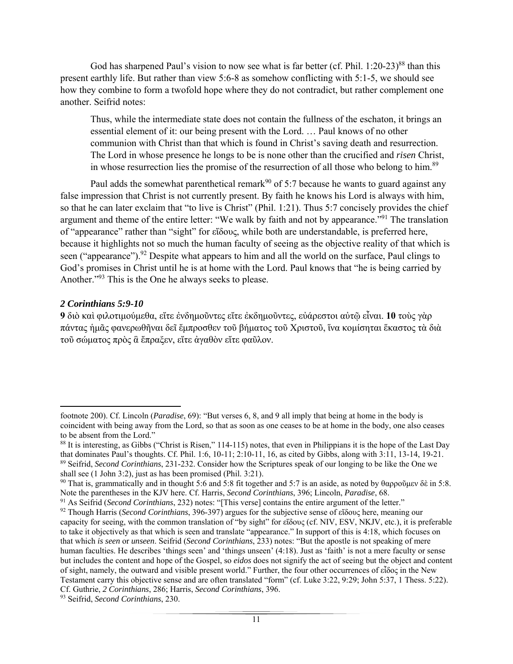God has sharpened Paul's vision to now see what is far better (cf. Phil.  $1:20-23$ )<sup>88</sup> than this present earthly life. But rather than view 5:6-8 as somehow conflicting with 5:1-5, we should see how they combine to form a twofold hope where they do not contradict, but rather complement one another. Seifrid notes:

Thus, while the intermediate state does not contain the fullness of the eschaton, it brings an essential element of it: our being present with the Lord. … Paul knows of no other communion with Christ than that which is found in Christ's saving death and resurrection. The Lord in whose presence he longs to be is none other than the crucified and *risen* Christ, in whose resurrection lies the promise of the resurrection of all those who belong to him.<sup>89</sup>

Paul adds the somewhat parenthetical remark<sup>90</sup> of 5:7 because he wants to guard against any false impression that Christ is not currently present. By faith he knows his Lord is always with him, so that he can later exclaim that "to live is Christ" (Phil. 1:21). Thus 5:7 concisely provides the chief argument and theme of the entire letter: "We walk by faith and not by appearance."<sup>91</sup> The translation of "appearance" rather than "sight" for εἴδους, while both are understandable, is preferred here, because it highlights not so much the human faculty of seeing as the objective reality of that which is seen ("appearance").<sup>92</sup> Despite what appears to him and all the world on the surface, Paul clings to God's promises in Christ until he is at home with the Lord. Paul knows that "he is being carried by Another."93 This is the One he always seeks to please.

### *2 Corinthians 5:9-10*

**9** διὸ καὶ φιλοτιμούμεθα, εἴτε ἐνδημοῦντες εἴτε ἐκδημοῦντες, εὐάρεστοι αὐτῷ εἶναι. **10** τοὺς γὰρ πάντας ἡμᾶς φανερωθῆναι δεῖ ἔμπροσθεν τοῦ βήματος τοῦ Χριστοῦ, ἵνα κομίσηται ἕκαστος τὰ διὰ τοῦ σώματος πρὸς ἃ ἔπραξεν, εἴτε ἀγαθὸν εἴτε φαῦλον.

footnote 200). Cf. Lincoln (*Paradise*, 69): "But verses 6, 8, and 9 all imply that being at home in the body is coincident with being away from the Lord, so that as soon as one ceases to be at home in the body, one also ceases to be absent from the Lord."

<sup>&</sup>lt;sup>88</sup> It is interesting, as Gibbs ("Christ is Risen," 114-115) notes, that even in Philippians it is the hope of the Last Day that dominates Paul's thoughts. Cf. Phil. 1:6, 10-11; 2:10-11, 16, as cited by Gibbs, along with 3:11, 13-14, 19-21. <sup>89</sup> Seifrid, *Second Corinthians*, 231-232. Consider how the Scriptures speak of our longing to be like the One we shall see (1 John 3:2), just as has been promised (Phil. 3:21).

<sup>&</sup>lt;sup>90</sup> That is, grammatically and in thought 5:6 and 5:8 fit together and 5:7 is an aside, as noted by θαρροῦμεν δὲ in 5:8. Note the parentheses in the KJV here. Cf. Harris, *Second Corinthians*, 396; Lincoln, *Paradise*, 68.

<sup>91</sup> As Seifrid (*Second Corinthians*, 232) notes: "[This verse] contains the entire argument of the letter."

<sup>92</sup> Though Harris (*Second Corinthians*, 396-397) argues for the subjective sense of εἴδους here, meaning our capacity for seeing, with the common translation of "by sight" for εἴδους (cf. NIV, ESV, NKJV, etc.), it is preferable to take it objectively as that which is seen and translate "appearance." In support of this is 4:18, which focuses on that which *is seen* or *unseen*. Seifrid (*Second Corinthians*, 233) notes: "But the apostle is not speaking of mere human faculties. He describes 'things seen' and 'things unseen' (4:18). Just as 'faith' is not a mere faculty or sense but includes the content and hope of the Gospel, so *eidos* does not signify the act of seeing but the object and content of sight, namely, the outward and visible present world." Further, the four other occurrences of εἶδος in the New Testament carry this objective sense and are often translated "form" (cf. Luke 3:22, 9:29; John 5:37, 1 Thess. 5:22). Cf. Guthrie, *2 Corinthians*, 286; Harris, *Second Corinthians*, 396.

<sup>93</sup> Seifrid, *Second Corinthians*, 230.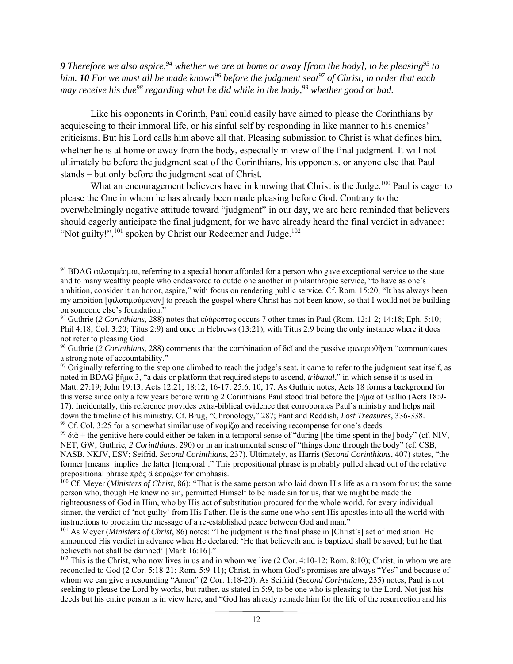**9** Therefore we also aspire,  $94$  whether we are at home or away [from the body], to be pleasing  $95$  to *him. 10 For we must all be made known<sup>96</sup> before the judgment seat***<sup>97</sup> of Christ, in order that each** *may receive his due<sup>98</sup> regarding what he did while in the body,*<sup>99</sup> whether good or bad.

 Like his opponents in Corinth, Paul could easily have aimed to please the Corinthians by acquiescing to their immoral life, or his sinful self by responding in like manner to his enemies' criticisms. But his Lord calls him above all that. Pleasing submission to Christ is what defines him, whether he is at home or away from the body, especially in view of the final judgment. It will not ultimately be before the judgment seat of the Corinthians, his opponents, or anyone else that Paul stands – but only before the judgment seat of Christ.

What an encouragement believers have in knowing that Christ is the Judge.<sup>100</sup> Paul is eager to please the One in whom he has already been made pleasing before God. Contrary to the overwhelmingly negative attitude toward "judgment" in our day, we are here reminded that believers should eagerly anticipate the final judgment, for we have already heard the final verdict in advance: "Not guilty!", $^{101}$  spoken by Christ our Redeemer and Judge. $^{102}$ 

 <sup>94</sup> BDAG φιλοτιμέομαι, referring to a special honor afforded for a person who gave exceptional service to the state and to many wealthy people who endeavored to outdo one another in philanthropic service, "to have as one's ambition, consider it an honor, aspire," with focus on rendering public service. Cf. Rom. 15:20, "It has always been my ambition [φιλοτιμούμενον] to preach the gospel where Christ has not been know, so that I would not be building on someone else's foundation."

<sup>95</sup> Guthrie (*2 Corinthians*, 288) notes that εὐάρεστος occurs 7 other times in Paul (Rom. 12:1-2; 14:18; Eph. 5:10; Phil 4:18; Col. 3:20; Titus 2:9) and once in Hebrews (13:21), with Titus 2:9 being the only instance where it does not refer to pleasing God.

<sup>96</sup> Guthrie (*2 Corinthians*, 288) comments that the combination of δεῖ and the passive φανερωθῆναι "communicates a strong note of accountability."

<sup>&</sup>lt;sup>97</sup> Originally referring to the step one climbed to reach the judge's seat, it came to refer to the judgment seat itself, as noted in BDAG βῆμα 3, "a dais or platform that required steps to ascend, *tribunal*," in which sense it is used in Matt. 27:19; John 19:13; Acts 12:21; 18:12, 16-17; 25:6, 10, 17. As Guthrie notes, Acts 18 forms a background for this verse since only a few years before writing 2 Corinthians Paul stood trial before the βῆμα of Gallio (Acts 18:9- 17). Incidentally, this reference provides extra-biblical evidence that corroborates Paul's ministry and helps nail down the timeline of his ministry. Cf. Brug, "Chronology," 287; Fant and Reddish, *Lost Treasures*, 336-338. 98 Cf. Col. 3:25 for a somewhat similar use of κομίζω and receiving recompense for one's deeds.

<sup>&</sup>lt;sup>99</sup> διὰ + the genitive here could either be taken in a temporal sense of "during [the time spent in the] body" (cf. NIV, NET, GW; Guthrie, *2 Corinthians*, 290) or in an instrumental sense of "things done through the body" (cf. CSB, NASB, NKJV, ESV; Seifrid, *Second Corinthians*, 237). Ultimately, as Harris (*Second Corinthians*, 407) states, "the former [means] implies the latter [temporal]." This prepositional phrase is probably pulled ahead out of the relative prepositional phrase πρὸς ἃ ἔπραξεν for emphasis.

<sup>100</sup> Cf. Meyer (*Ministers of Christ*, 86): "That is the same person who laid down His life as a ransom for us; the same person who, though He knew no sin, permitted Himself to be made sin for us, that we might be made the righteousness of God in Him, who by His act of substitution procured for the whole world, for every individual sinner, the verdict of 'not guilty' from His Father. He is the same one who sent His apostles into all the world with instructions to proclaim the message of a re-established peace between God and man."

<sup>101</sup> As Meyer (*Ministers of Christ*, 86) notes: "The judgment is the final phase in [Christ's] act of mediation. He announced His verdict in advance when He declared: 'He that believeth and is baptized shall be saved; but he that believeth not shall be damned' [Mark 16:16]."

 $102$  This is the Christ, who now lives in us and in whom we live  $(2 \text{ Cor. } 4:10-12; \text{ Rom. } 8:10)$ ; Christ, in whom we are reconciled to God (2 Cor. 5:18-21; Rom. 5:9-11); Christ, in whom God's promises are always "Yes" and because of whom we can give a resounding "Amen" (2 Cor. 1:18-20). As Seifrid (*Second Corinthians*, 235) notes, Paul is not seeking to please the Lord by works, but rather, as stated in 5:9, to be one who is pleasing to the Lord. Not just his deeds but his entire person is in view here, and "God has already remade him for the life of the resurrection and his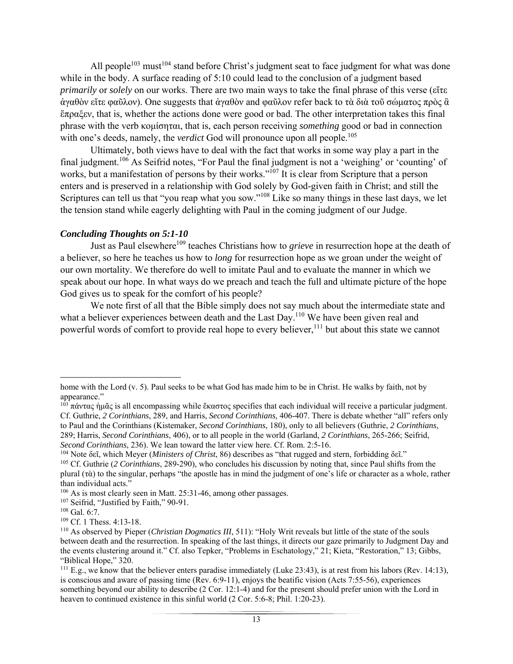All people<sup>103</sup> must<sup>104</sup> stand before Christ's judgment seat to face judgment for what was done while in the body. A surface reading of 5:10 could lead to the conclusion of a judgment based *primarily* or *solely* on our works. There are two main ways to take the final phrase of this verse (εἴτε ἀγαθὸν εἴτε φαῦλον). One suggests that ἀγαθὸν and φαῦλον refer back to τὰ διὰ τοῦ σώματος πρὸς ἃ ἔπραξεν, that is, whether the actions done were good or bad. The other interpretation takes this final phrase with the verb κομίσηται, that is, each person receiving *something* good or bad in connection with one's deeds, namely, the *verdict* God will pronounce upon all people.<sup>105</sup>

 Ultimately, both views have to deal with the fact that works in some way play a part in the final judgment.106 As Seifrid notes, "For Paul the final judgment is not a 'weighing' or 'counting' of works, but a manifestation of persons by their works."<sup>107</sup> It is clear from Scripture that a person enters and is preserved in a relationship with God solely by God-given faith in Christ; and still the Scriptures can tell us that "you reap what you sow."<sup>108</sup> Like so many things in these last days, we let the tension stand while eagerly delighting with Paul in the coming judgment of our Judge.

### *Concluding Thoughts on 5:1-10*

Just as Paul elsewhere<sup>109</sup> teaches Christians how to *grieve* in resurrection hope at the death of a believer, so here he teaches us how to *long* for resurrection hope as we groan under the weight of our own mortality. We therefore do well to imitate Paul and to evaluate the manner in which we speak about our hope. In what ways do we preach and teach the full and ultimate picture of the hope God gives us to speak for the comfort of his people?

 We note first of all that the Bible simply does not say much about the intermediate state and what a believer experiences between death and the Last Day.<sup>110</sup> We have been given real and powerful words of comfort to provide real hope to every believer,<sup>111</sup> but about this state we cannot

home with the Lord (v. 5). Paul seeks to be what God has made him to be in Christ. He walks by faith, not by appearance."

 $103 \pi \omega$ ντας ήμᾶς is all encompassing while ἕκαστος specifies that each individual will receive a particular judgment. Cf. Guthrie, *2 Corinthians*, 289, and Harris, *Second Corinthians*, 406-407. There is debate whether "all" refers only to Paul and the Corinthians (Kistemaker, *Second Corinthians*, 180), only to all believers (Guthrie, *2 Corinthians*, 289; Harris, *Second Corinthians*, 406), or to all people in the world (Garland, *2 Corinthians*, 265-266; Seifrid, *Second Corinthians*, 236). We lean toward the latter view here. Cf. Rom. 2:5-16.

<sup>104</sup> Note δεῖ, which Meyer (*Ministers of Christ*, 86) describes as "that rugged and stern, forbidding δεῖ."

<sup>105</sup> Cf. Guthrie (*2 Corinthians*, 289-290), who concludes his discussion by noting that, since Paul shifts from the plural (τὰ) to the singular, perhaps "the apostle has in mind the judgment of one's life or character as a whole, rather than individual acts."

<sup>106</sup> As is most clearly seen in Matt. 25:31-46, among other passages.

<sup>&</sup>lt;sup>107</sup> Seifrid, "Justified by Faith," 90-91.

<sup>108</sup> Gal. 6:7.

<sup>109</sup> Cf. 1 Thess. 4:13-18.

<sup>110</sup> As observed by Pieper (*Christian Dogmatics III*, 511): "Holy Writ reveals but little of the state of the souls between death and the resurrection. In speaking of the last things, it directs our gaze primarily to Judgment Day and the events clustering around it." Cf. also Tepker, "Problems in Eschatology," 21; Kieta, "Restoration," 13; Gibbs, "Biblical Hope," 320.

<sup>&</sup>lt;sup>111</sup> E.g., we know that the believer enters paradise immediately (Luke 23:43), is at rest from his labors (Rev. 14:13), is conscious and aware of passing time (Rev. 6:9-11), enjoys the beatific vision (Acts 7:55-56), experiences something beyond our ability to describe (2 Cor. 12:1-4) and for the present should prefer union with the Lord in heaven to continued existence in this sinful world (2 Cor. 5:6-8; Phil. 1:20-23).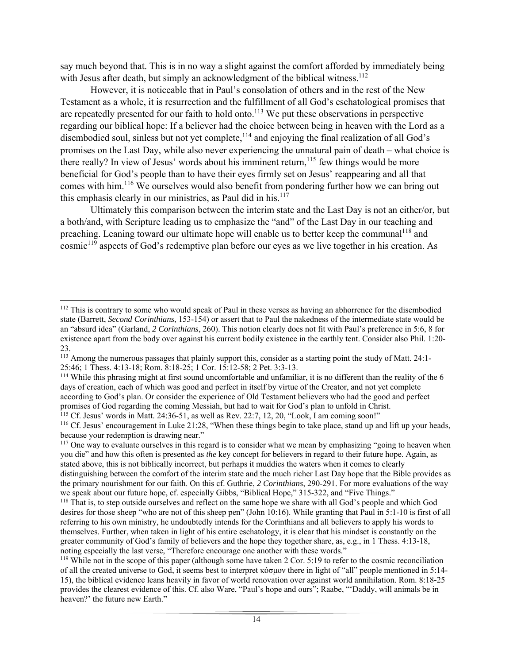say much beyond that. This is in no way a slight against the comfort afforded by immediately being with Jesus after death, but simply an acknowledgment of the biblical witness.<sup>112</sup>

 However, it is noticeable that in Paul's consolation of others and in the rest of the New Testament as a whole, it is resurrection and the fulfillment of all God's eschatological promises that are repeatedly presented for our faith to hold onto.<sup>113</sup> We put these observations in perspective regarding our biblical hope: If a believer had the choice between being in heaven with the Lord as a disembodied soul, sinless but not yet complete,<sup>114</sup> and enjoying the final realization of all God's promises on the Last Day, while also never experiencing the unnatural pain of death – what choice is there really? In view of Jesus' words about his imminent return, <sup>115</sup> few things would be more beneficial for God's people than to have their eyes firmly set on Jesus' reappearing and all that comes with him.<sup>116</sup> We ourselves would also benefit from pondering further how we can bring out this emphasis clearly in our ministries, as Paul did in his. $117$ 

 Ultimately this comparison between the interim state and the Last Day is not an either/or, but a both/and, with Scripture leading us to emphasize the "and" of the Last Day in our teaching and preaching. Leaning toward our ultimate hope will enable us to better keep the communal<sup>118</sup> and  $\epsilon$  cosmic<sup>119</sup> aspects of God's redemptive plan before our eyes as we live together in his creation. As

 <sup>112</sup> This is contrary to some who would speak of Paul in these verses as having an abhorrence for the disembodied state (Barrett, *Second Corinthians*, 153-154) or assert that to Paul the nakedness of the intermediate state would be an "absurd idea" (Garland, *2 Corinthians*, 260). This notion clearly does not fit with Paul's preference in 5:6, 8 for existence apart from the body over against his current bodily existence in the earthly tent. Consider also Phil. 1:20- 23.

<sup>&</sup>lt;sup>113</sup> Among the numerous passages that plainly support this, consider as a starting point the study of Matt. 24:1-

<sup>25:46; 1</sup> Thess. 4:13-18; Rom. 8:18-25; 1 Cor. 15:12-58; 2 Pet. 3:3-13.<br><sup>114</sup> While this phrasing might at first sound uncomfortable and unfamiliar, it is no different than the reality of the 6 days of creation, each of which was good and perfect in itself by virtue of the Creator, and not yet complete according to God's plan. Or consider the experience of Old Testament believers who had the good and perfect promises of God regarding the coming Messiah, but had to wait for God's plan to unfold in Christ.

<sup>115</sup> Cf. Jesus' words in Matt. 24:36-51, as well as Rev. 22:7, 12, 20, "Look, I am coming soon!"

<sup>116</sup> Cf. Jesus' encouragement in Luke 21:28, "When these things begin to take place, stand up and lift up your heads, because your redemption is drawing near."

<sup>&</sup>lt;sup>117</sup> One way to evaluate ourselves in this regard is to consider what we mean by emphasizing "going to heaven when you die" and how this often is presented as *the* key concept for believers in regard to their future hope. Again, as stated above, this is not biblically incorrect, but perhaps it muddies the waters when it comes to clearly distinguishing between the comfort of the interim state and the much richer Last Day hope that the Bible provides as the primary nourishment for our faith. On this cf. Guthrie, *2 Corinthians*, 290-291. For more evaluations of the way we speak about our future hope, cf. especially Gibbs, "Biblical Hope," 315-322, and "Five Things."

<sup>&</sup>lt;sup>118</sup> That is, to step outside ourselves and reflect on the same hope we share with all God's people and which God desires for those sheep "who are not of this sheep pen" (John 10:16). While granting that Paul in 5:1-10 is first of all referring to his own ministry, he undoubtedly intends for the Corinthians and all believers to apply his words to themselves. Further, when taken in light of his entire eschatology, it is clear that his mindset is constantly on the greater community of God's family of believers and the hope they together share, as, e.g., in 1 Thess. 4:13-18, noting especially the last verse, "Therefore encourage one another with these words."

<sup>&</sup>lt;sup>119</sup> While not in the scope of this paper (although some have taken 2 Cor. 5:19 to refer to the cosmic reconciliation of all the created universe to God, it seems best to interpret κόσμον there in light of "all" people mentioned in 5:14- 15), the biblical evidence leans heavily in favor of world renovation over against world annihilation. Rom. 8:18-25 provides the clearest evidence of this. Cf. also Ware, "Paul's hope and ours"; Raabe, "'Daddy, will animals be in heaven?' the future new Earth."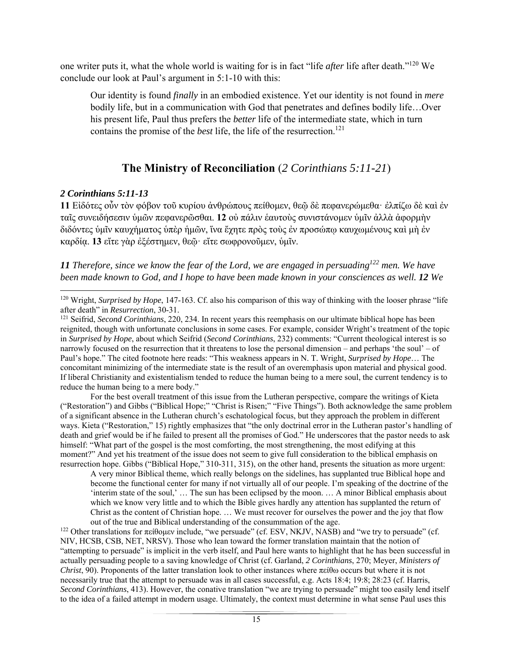one writer puts it, what the whole world is waiting for is in fact "life *after* life after death."120 We conclude our look at Paul's argument in 5:1-10 with this:

Our identity is found *finally* in an embodied existence. Yet our identity is not found in *mere*  bodily life, but in a communication with God that penetrates and defines bodily life…Over his present life, Paul thus prefers the *better* life of the intermediate state, which in turn contains the promise of the *best* life, the life of the resurrection.<sup>121</sup>

# **The Ministry of Reconciliation** (*2 Corinthians 5:11-21*)

## *2 Corinthians 5:11-13*

**11** Εἰδότες οὖν τὸν φόβον τοῦ κυρίου ἀνθρώπους πείθομεν, θεῷ δὲ πεφανερώμεθαꞏ ἐλπίζω δὲ καὶ ἐν ταῖς συνειδήσεσιν ὑμῶν πεφανερῶσθαι. **12** οὐ πάλιν ἑαυτοὺς συνιστάνομεν ὑμῖν ἀλλὰ ἀφορμὴν διδόντες ὑμῖν καυχήματος ὑπὲρ ἡμῶν, ἵνα ἔχητε πρὸς τοὺς ἐν προσώπῳ καυχωμένους καὶ μὴ ἐν καρδίᾳ. **13** εἴτε γὰρ ἐξέστημεν, θεῷꞏ εἴτε σωφρονοῦμεν, ὑμῖν.

*11 Therefore, since we know the fear of the Lord, we are engaged in persuading122 men. We have been made known to God, and I hope to have been made known in your consciences as well. 12 We* 

For the best overall treatment of this issue from the Lutheran perspective, compare the writings of Kieta ("Restoration") and Gibbs ("Biblical Hope;" "Christ is Risen;" "Five Things"). Both acknowledge the same problem of a significant absence in the Lutheran church's eschatological focus, but they approach the problem in different ways. Kieta ("Restoration," 15) rightly emphasizes that "the only doctrinal error in the Lutheran pastor's handling of death and grief would be if he failed to present all the promises of God." He underscores that the pastor needs to ask himself: "What part of the gospel is the most comforting, the most strengthening, the most edifying at this moment?" And yet his treatment of the issue does not seem to give full consideration to the biblical emphasis on resurrection hope. Gibbs ("Biblical Hope," 310-311, 315), on the other hand, presents the situation as more urgent:

A very minor Biblical theme, which really belongs on the sidelines, has supplanted true Biblical hope and become the functional center for many if not virtually all of our people. I'm speaking of the doctrine of the 'interim state of the soul,' … The sun has been eclipsed by the moon. … A minor Biblical emphasis about which we know very little and to which the Bible gives hardly any attention has supplanted the return of Christ as the content of Christian hope. … We must recover for ourselves the power and the joy that flow

<sup>122</sup> Other translations for πείθομεν include, "we persuade" (cf. ESV, NKJV, NASB) and "we try to persuade" (cf. NIV, HCSB, CSB, NET, NRSV). Those who lean toward the former translation maintain that the notion of "attempting to persuade" is implicit in the verb itself, and Paul here wants to highlight that he has been successful in actually persuading people to a saving knowledge of Christ (cf. Garland, *2 Corinthians*, 270; Meyer, *Ministers of Christ*, 90). Proponents of the latter translation look to other instances where πείθω occurs but where it is not necessarily true that the attempt to persuade was in all cases successful, e.g. Acts 18:4; 19:8; 28:23 (cf. Harris, *Second Corinthians*, 413). However, the conative translation "we are trying to persuade" might too easily lend itself to the idea of a failed attempt in modern usage. Ultimately, the context must determine in what sense Paul uses this

 <sup>120</sup> Wright, *Surprised by Hope*, 147-163. Cf. also his comparison of this way of thinking with the looser phrase "life after death" in *Resurrection*, 30-31.

<sup>&</sup>lt;sup>121</sup> Seifrid, *Second Corinthians*, 220, 234. In recent years this reemphasis on our ultimate biblical hope has been reignited, though with unfortunate conclusions in some cases. For example, consider Wright's treatment of the topic in *Surprised by Hope*, about which Seifrid (*Second Corinthians*, 232) comments: "Current theological interest is so narrowly focused on the resurrection that it threatens to lose the personal dimension – and perhaps 'the soul' – of Paul's hope." The cited footnote here reads: "This weakness appears in N. T. Wright, *Surprised by Hope*… The concomitant minimizing of the intermediate state is the result of an overemphasis upon material and physical good. If liberal Christianity and existentialism tended to reduce the human being to a mere soul, the current tendency is to reduce the human being to a mere body."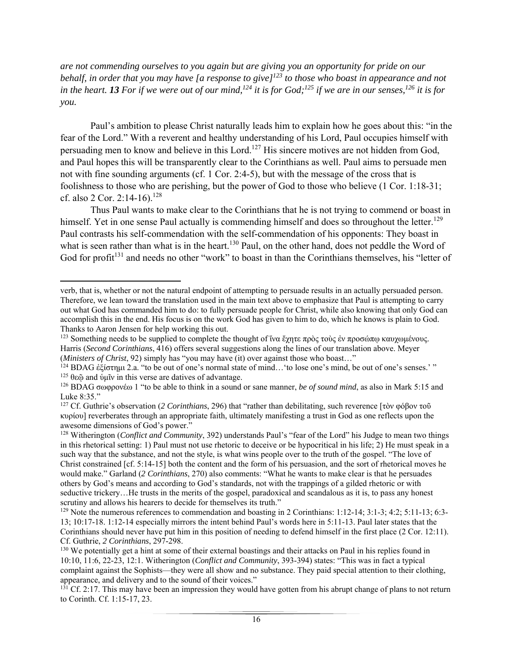*are not commending ourselves to you again but are giving you an opportunity for pride on our behalf, in order that you may have [a response to give]123 to those who boast in appearance and not*  in the heart. **13** For if we were out of our mind,<sup> $124$ </sup> it is for God;<sup> $125$ </sup> if we are in our senses,  $126$  it is for *you.* 

 Paul's ambition to please Christ naturally leads him to explain how he goes about this: "in the fear of the Lord." With a reverent and healthy understanding of his Lord, Paul occupies himself with persuading men to know and believe in this Lord.<sup>127</sup> His sincere motives are not hidden from God, and Paul hopes this will be transparently clear to the Corinthians as well. Paul aims to persuade men not with fine sounding arguments (cf. 1 Cor. 2:4-5), but with the message of the cross that is foolishness to those who are perishing, but the power of God to those who believe (1 Cor. 1:18-31; cf. also 2 Cor. 2:14-16).<sup>128</sup>

 Thus Paul wants to make clear to the Corinthians that he is not trying to commend or boast in himself. Yet in one sense Paul actually is commending himself and does so throughout the letter.<sup>129</sup> Paul contrasts his self-commendation with the self-commendation of his opponents: They boast in what is seen rather than what is in the heart.<sup>130</sup> Paul, on the other hand, does not peddle the Word of God for profit<sup>131</sup> and needs no other "work" to boast in than the Corinthians themselves, his "letter of

 verb, that is, whether or not the natural endpoint of attempting to persuade results in an actually persuaded person. Therefore, we lean toward the translation used in the main text above to emphasize that Paul is attempting to carry out what God has commanded him to do: to fully persuade people for Christ, while also knowing that only God can accomplish this in the end. His focus is on the work God has given to him to do, which he knows is plain to God. Thanks to Aaron Jensen for help working this out.

<sup>123</sup> Something needs to be supplied to complete the thought of ἵνα ἔχητε πρὸς τοὺς ἐν προσώπῳ καυχωμένους. Harris (*Second Corinthians*, 416) offers several suggestions along the lines of our translation above. Meyer (*Ministers of Christ*, 92) simply has "you may have (it) over against those who boast..."

<sup>&</sup>lt;sup>124</sup> BDAG ἐξίστημι 2.a. "to be out of one's normal state of mind... 'to lose one's mind, be out of one's senses.' " <sup>125</sup> θεῷ and ὑμῖν in this verse are datives of advantage.

<sup>126</sup> BDAG σωφρονέω 1 "to be able to think in a sound or sane manner, *be of sound mind*, as also in Mark 5:15 and Luke 8:35."

<sup>127</sup> Cf. Guthrie's observation (*2 Corinthians*, 296) that "rather than debilitating, such reverence [τὸν φόβον τοῦ κυρίου] reverberates through an appropriate faith, ultimately manifesting a trust in God as one reflects upon the awesome dimensions of God's power."

<sup>128</sup> Witherington (*Conflict and Community*, 392) understands Paul's "fear of the Lord" his Judge to mean two things in this rhetorical setting: 1) Paul must not use rhetoric to deceive or be hypocritical in his life; 2) He must speak in a such way that the substance, and not the style, is what wins people over to the truth of the gospel. "The love of Christ constrained [cf. 5:14-15] both the content and the form of his persuasion, and the sort of rhetorical moves he would make." Garland (*2 Corinthians*, 270) also comments: "What he wants to make clear is that he persuades others by God's means and according to God's standards, not with the trappings of a gilded rhetoric or with seductive trickery...He trusts in the merits of the gospel, paradoxical and scandalous as it is, to pass any honest scrutiny and allows his hearers to decide for themselves its truth."

<sup>&</sup>lt;sup>129</sup> Note the numerous references to commendation and boasting in 2 Corinthians: 1:12-14; 3:1-3; 4:2; 5:11-13; 6:3-13; 10:17-18. 1:12-14 especially mirrors the intent behind Paul's words here in 5:11-13. Paul later states that the Corinthians should never have put him in this position of needing to defend himself in the first place (2 Cor. 12:11). Cf. Guthrie, *2 Corinthians*, 297-298.

<sup>&</sup>lt;sup>130</sup> We potentially get a hint at some of their external boastings and their attacks on Paul in his replies found in 10:10, 11:6, 22-23, 12:1. Witherington (*Conflict and Community*, 393-394) states: "This was in fact a typical complaint against the Sophists—they were all show and no substance. They paid special attention to their clothing, appearance, and delivery and to the sound of their voices."

<sup>&</sup>lt;sup>131</sup> Cf. 2:17. This may have been an impression they would have gotten from his abrupt change of plans to not return to Corinth. Cf. 1:15-17, 23.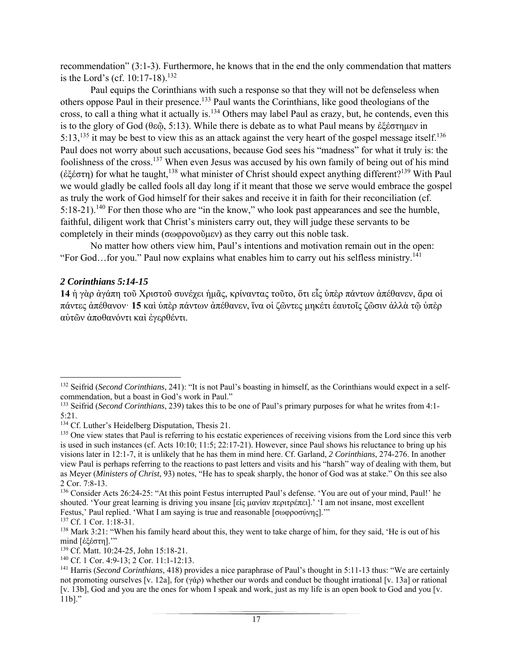recommendation" (3:1-3). Furthermore, he knows that in the end the only commendation that matters is the Lord's (cf. 10:17-18).<sup>132</sup>

 Paul equips the Corinthians with such a response so that they will not be defenseless when others oppose Paul in their presence.133 Paul wants the Corinthians, like good theologians of the cross, to call a thing what it actually is.134 Others may label Paul as crazy, but, he contends, even this is to the glory of God (θεῷ, 5:13). While there is debate as to what Paul means by ἐξέστημεν in 5:13,<sup>135</sup> it may be best to view this as an attack against the very heart of the gospel message itself.<sup>136</sup> Paul does not worry about such accusations, because God sees his "madness" for what it truly is: the foolishness of the cross.137 When even Jesus was accused by his own family of being out of his mind (ἐξέστη) for what he taught,138 what minister of Christ should expect anything different?139 With Paul we would gladly be called fools all day long if it meant that those we serve would embrace the gospel as truly the work of God himself for their sakes and receive it in faith for their reconciliation (cf. 5:18-21).<sup>140</sup> For then those who are "in the know," who look past appearances and see the humble, faithful, diligent work that Christ's ministers carry out, they will judge these servants to be completely in their minds (σωφρονοῦμεν) as they carry out this noble task.

 No matter how others view him, Paul's intentions and motivation remain out in the open: "For God...for you." Paul now explains what enables him to carry out his selfless ministry.<sup>141</sup>

### *2 Corinthians 5:14-15*

**14** ἡ γὰρ ἀγάπη τοῦ Χριστοῦ συνέχει ἡμᾶς, κρίναντας τοῦτο, ὅτι εἷς ὑπὲρ πάντων ἀπέθανεν, ἄρα οἱ πάντες ἀπέθανονꞏ **15** καὶ ὑπὲρ πάντων ἀπέθανεν, ἵνα οἱ ζῶντες μηκέτι ἑαυτοῖς ζῶσιν ἀλλὰ τῷ ὑπὲρ αὐτῶν ἀποθανόντι καὶ ἐγερθέντι.

<sup>132</sup> Seifrid (*Second Corinthians*, 241): "It is not Paul's boasting in himself, as the Corinthians would expect in a selfcommendation, but a boast in God's work in Paul."

<sup>133</sup> Seifrid (*Second Corinthians*, 239) takes this to be one of Paul's primary purposes for what he writes from 4:1- 5:21.

<sup>&</sup>lt;sup>134</sup> Cf. Luther's Heidelberg Disputation, Thesis 21.

<sup>&</sup>lt;sup>135</sup> One view states that Paul is referring to his ecstatic experiences of receiving visions from the Lord since this verb is used in such instances (cf. Acts 10:10; 11:5; 22:17-21). However, since Paul shows his reluctance to bring up his visions later in 12:1-7, it is unlikely that he has them in mind here. Cf. Garland, *2 Corinthians*, 274-276. In another view Paul is perhaps referring to the reactions to past letters and visits and his "harsh" way of dealing with them, but as Meyer (*Ministers of Christ*, 93) notes, "He has to speak sharply, the honor of God was at stake." On this see also 2 Cor. 7:8-13.

<sup>136</sup> Consider Acts 26:24-25: "At this point Festus interrupted Paul's defense. 'You are out of your mind, Paul!' he shouted. 'Your great learning is driving you insane [εἰς μανίαν περιτρέπει].' 'I am not insane, most excellent Festus,' Paul replied. 'What I am saying is true and reasonable [σωφροσύνης].'"

<sup>137</sup> Cf. 1 Cor. 1:18-31.

<sup>&</sup>lt;sup>138</sup> Mark 3:21: "When his family heard about this, they went to take charge of him, for they said, 'He is out of his mind [ἐξέστη].'"

<sup>139</sup> Cf. Matt. 10:24-25, John 15:18-21.

<sup>&</sup>lt;sup>140</sup> Cf. 1 Cor. 4:9-13; 2 Cor. 11:1-12:13.<br><sup>141</sup> Harris (*Second Corinthians*, 418) provides a nice paraphrase of Paul's thought in 5:11-13 thus: "We are certainly not promoting ourselves [v. 12a], for (γάρ) whether our words and conduct be thought irrational [v. 13a] or rational [v. 13b], God and you are the ones for whom I speak and work, just as my life is an open book to God and you [v. 11b]."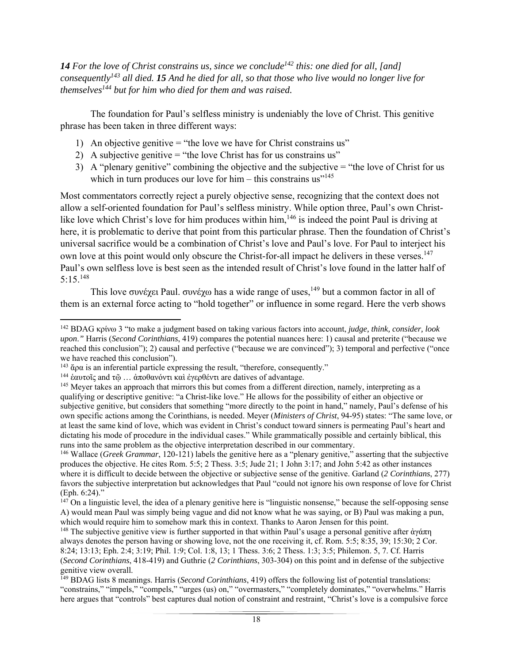**14** For the love of Christ constrains us, since we conclude<sup>142</sup> this: one died for all, [and] *consequently143 all died. 15 And he died for all, so that those who live would no longer live for themselves144 but for him who died for them and was raised.* 

 The foundation for Paul's selfless ministry is undeniably the love of Christ. This genitive phrase has been taken in three different ways:

- 1) An objective genitive = "the love we have for Christ constrains us"
- 2) A subjective genitive = "the love Christ has for us constrains us"
- 3) A "plenary genitive" combining the objective and the subjective = "the love of Christ for us which in turn produces our love for him – this constrains us"<sup>145</sup>

Most commentators correctly reject a purely objective sense, recognizing that the context does not allow a self-oriented foundation for Paul's selfless ministry. While option three, Paul's own Christlike love which Christ's love for him produces within him,<sup>146</sup> is indeed the point Paul is driving at here, it is problematic to derive that point from this particular phrase. Then the foundation of Christ's universal sacrifice would be a combination of Christ's love and Paul's love. For Paul to interject his own love at this point would only obscure the Christ-for-all impact he delivers in these verses.<sup>147</sup> Paul's own selfless love is best seen as the intended result of Christ's love found in the latter half of  $5:15^{148}$ 

This love συνέχει Paul. συνέχω has a wide range of uses,<sup>149</sup> but a common factor in all of them is an external force acting to "hold together" or influence in some regard. Here the verb shows

<sup>142</sup> BDAG κρίνω 3 "to make a judgment based on taking various factors into account, *judge, think, consider, look upon*.*"* Harris (*Second Corinthians*, 419) compares the potential nuances here: 1) causal and preterite ("because we reached this conclusion"); 2) causal and perfective ("because we are convinced"); 3) temporal and perfective ("once we have reached this conclusion").<br><sup>143</sup>  $\alpha \alpha$  is an inferential particle expressing the result, "therefore, consequently."

 $144$  έαυτοῖς and τῷ … ἀποθανόντι καὶ ἐγερθέντι are datives of advantage.

<sup>&</sup>lt;sup>145</sup> Meyer takes an approach that mirrors this but comes from a different direction, namely, interpreting as a qualifying or descriptive genitive: "a Christ-like love." He allows for the possibility of either an objective or subjective genitive, but considers that something "more directly to the point in hand," namely, Paul's defense of his own specific actions among the Corinthians, is needed. Meyer (*Ministers of Christ*, 94-95) states: "The same love, or at least the same kind of love, which was evident in Christ's conduct toward sinners is permeating Paul's heart and dictating his mode of procedure in the individual cases." While grammatically possible and certainly biblical, this runs into the same problem as the objective interpretation described in our commentary.

<sup>146</sup> Wallace (*Greek Grammar*, 120-121) labels the genitive here as a "plenary genitive," asserting that the subjective produces the objective. He cites Rom. 5:5; 2 Thess. 3:5; Jude 21; 1 John 3:17; and John 5:42 as other instances where it is difficult to decide between the objective or subjective sense of the genitive. Garland (*2 Corinthians*, 277) favors the subjective interpretation but acknowledges that Paul "could not ignore his own response of love for Christ (Eph. 6:24)."

 $147$  On a linguistic level, the idea of a plenary genitive here is "linguistic nonsense," because the self-opposing sense A) would mean Paul was simply being vague and did not know what he was saying, or B) Paul was making a pun, which would require him to somehow mark this in context. Thanks to Aaron Jensen for this point.

<sup>&</sup>lt;sup>148</sup> The subjective genitive view is further supported in that within Paul's usage a personal genitive after ἀγάπη always denotes the person having or showing love, not the one receiving it, cf. Rom. 5:5; 8:35, 39; 15:30; 2 Cor. 8:24; 13:13; Eph. 2:4; 3:19; Phil. 1:9; Col. 1:8, 13; 1 Thess. 3:6; 2 Thess. 1:3; 3:5; Philemon. 5, 7. Cf. Harris (*Second Corinthians*, 418-419) and Guthrie (*2 Corinthians*, 303-304) on this point and in defense of the subjective genitive view overall.

<sup>149</sup> BDAG lists 8 meanings. Harris (*Second Corinthians*, 419) offers the following list of potential translations: "constrains," "impels," "compels," "urges (us) on," "overmasters," "completely dominates," "overwhelms." Harris here argues that "controls" best captures dual notion of constraint and restraint, "Christ's love is a compulsive force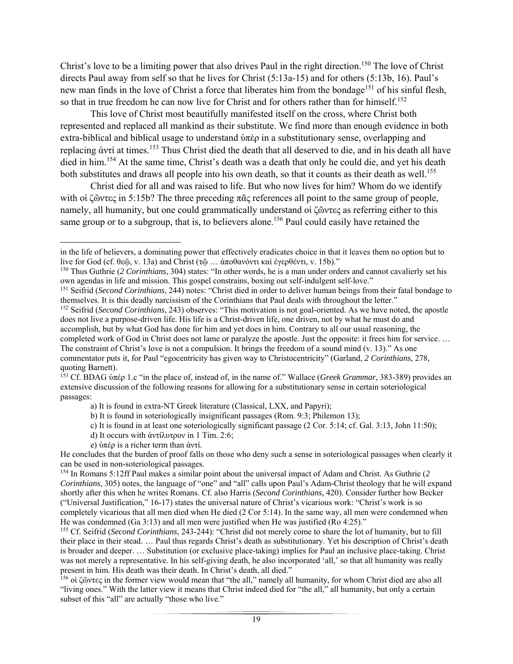Christ's love to be a limiting power that also drives Paul in the right direction.<sup>150</sup> The love of Christ directs Paul away from self so that he lives for Christ (5:13a-15) and for others (5:13b, 16). Paul's new man finds in the love of Christ a force that liberates him from the bondage<sup>151</sup> of his sinful flesh, so that in true freedom he can now live for Christ and for others rather than for himself.<sup>152</sup>

 This love of Christ most beautifully manifested itself on the cross, where Christ both represented and replaced all mankind as their substitute. We find more than enough evidence in both extra-biblical and biblical usage to understand ὑπὲρ in a substitutionary sense, overlapping and replacing άντί at times.<sup>153</sup> Thus Christ died the death that all deserved to die, and in his death all have died in him.<sup>154</sup> At the same time, Christ's death was a death that only he could die, and yet his death both substitutes and draws all people into his own death, so that it counts as their death as well.<sup>155</sup>

 Christ died for all and was raised to life. But who now lives for him? Whom do we identify with οἱ ζῶντες in 5:15b? The three preceding πᾶς references all point to the same group of people, namely, all humanity, but one could grammatically understand οἱ ζῶντες as referring either to this same group or to a subgroup, that is, to believers alone.<sup>156</sup> Paul could easily have retained the

<sup>152</sup> Seifrid (*Second Corinthians*, 243) observes: "This motivation is not goal-oriented. As we have noted, the apostle does not live a purpose-driven life. His life is a Christ-driven life, one driven, not by what he must do and accomplish, but by what God has done for him and yet does in him. Contrary to all our usual reasoning, the completed work of God in Christ does not lame or paralyze the apostle. Just the opposite: it frees him for service. … The constraint of Christ's love is not a compulsion. It brings the freedom of a sound mind (v. 13)." As one commentator puts it, for Paul "egocentricity has given way to Christocentricity" (Garland, *2 Corinthians*, 278,

- d) It occurs with ἀντίλυτρον in 1 Tim. 2:6;
- e) ὑπέρ is a richer term than ἀντί.

He concludes that the burden of proof falls on those who deny such a sense in soteriological passages when clearly it can be used in non-soteriological passages.

156 οἱ ζῶντες in the former view would mean that "the all," namely all humanity, for whom Christ died are also all "living ones." With the latter view it means that Christ indeed died for "the all," all humanity, but only a certain subset of this "all" are actually "those who live."

 in the life of believers, a dominating power that effectively eradicates choice in that it leaves them no option but to live for God (cf. θεῷ, v. 13a) and Christ (τῷ … ἀποθανόντι καὶ ἐγερθέντι, v. 15b)."

<sup>150</sup> Thus Guthrie (*2 Corinthians*, 304) states: "In other words, he is a man under orders and cannot cavalierly set his own agendas in life and mission. This gospel constrains, boxing out self-indulgent self-love."

<sup>151</sup> Seifrid (*Second Corinthians*, 244) notes: "Christ died in order to deliver human beings from their fatal bondage to themselves. It is this deadly narcissism of the Corinthians that Paul deals with throughout the letter."

quoting Barnett).

<sup>153</sup> Cf. BDAG ὑπέρ 1.c "in the place of, instead of, in the name of." Wallace (*Greek Grammar*, 383-389) provides an extensive discussion of the following reasons for allowing for a substitutionary sense in certain soteriological passages:

a) It is found in extra-NT Greek literature (Classical, LXX, and Papyri);

b) It is found in soteriologically insignificant passages (Rom. 9:3; Philemon 13);

c) It is found in at least one soteriologically significant passage (2 Cor. 5:14; cf. Gal. 3:13, John 11:50);

<sup>154</sup> In Romans 5:12ff Paul makes a similar point about the universal impact of Adam and Christ. As Guthrie (*2 Corinthians*, 305) notes, the language of "one" and "all" calls upon Paul's Adam-Christ theology that he will expand shortly after this when he writes Romans. Cf. also Harris (*Second Corinthians*, 420). Consider further how Becker ("Universal Justification," 16-17) states the universal nature of Christ's vicarious work: "Christ's work is so completely vicarious that all men died when He died (2 Cor 5:14). In the same way, all men were condemned when He was condemned (Ga 3:13) and all men were justified when He was justified (Ro 4:25)."

<sup>155</sup> Cf. Seifrid (*Second Corinthians*, 243-244): "Christ did not merely come to share the lot of humanity, but to fill their place in their stead. … Paul thus regards Christ's death as substitutionary. Yet his description of Christ's death is broader and deeper. … Substitution (or exclusive place-taking) implies for Paul an inclusive place-taking. Christ was not merely a representative. In his self-giving death, he also incorporated 'all,' so that all humanity was really present in him. His death was their death. In Christ's death, all died."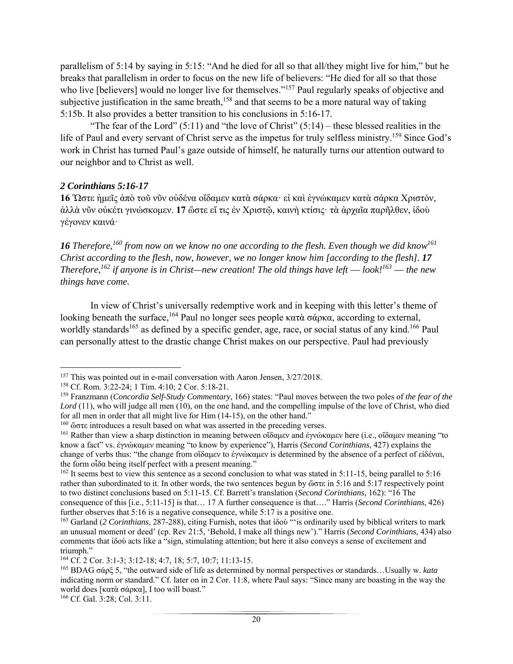parallelism of 5:14 by saying in 5:15: "And he died for all so that all/they might live for him," but he breaks that parallelism in order to focus on the new life of believers: "He died for all so that those who live [believers] would no longer live for themselves."<sup>157</sup> Paul regularly speaks of objective and subjective justification in the same breath,<sup>158</sup> and that seems to be a more natural way of taking 5:15b. It also provides a better transition to his conclusions in 5:16-17.

"The fear of the Lord"  $(5:11)$  and "the love of Christ"  $(5:14)$  – these blessed realities in the life of Paul and every servant of Christ serve as the impetus for truly selfless ministry.<sup>159</sup> Since God's work in Christ has turned Paul's gaze outside of himself, he naturally turns our attention outward to our neighbor and to Christ as well.

### *2 Corinthians 5:16-17*

**16** Ὥστε ἡμεῖς ἀπὸ τοῦ νῦν οὐδένα οἴδαμεν κατὰ σάρκαꞏ εἰ καὶ ἐγνώκαμεν κατὰ σάρκα Χριστόν, άλλὰ νῦν οὐκέτι γινώσκομεν. 17 ὥστε εἴ τις ἐν Χριστῷ, καινὴ κτίσις· τὰ ἀρχαῖα παρῆλθεν, ἰδού γέγονεν καινά·

**16** *Therefore*,<sup>160</sup> from now on we know no one according to the flesh. Even though we did know<sup>161</sup> *Christ according to the flesh, now, however, we no longer know him [according to the flesh]. 17 Therefore,*<sup>162</sup> if anyone is in Christ—new creation! The old things have left — look!<sup>163</sup> — the new *things have come.* 

 In view of Christ's universally redemptive work and in keeping with this letter's theme of looking beneath the surface,<sup>164</sup> Paul no longer sees people κατὰ σάρκα, according to external, worldly standards<sup>165</sup> as defined by a specific gender, age, race, or social status of any kind.<sup>166</sup> Paul can personally attest to the drastic change Christ makes on our perspective. Paul had previously

<sup>&</sup>lt;sup>157</sup> This was pointed out in e-mail conversation with Aaron Jensen, 3/27/2018.

<sup>158</sup> Cf. Rom. 3:22-24; 1 Tim. 4:10; 2 Cor. 5:18-21.

<sup>159</sup> Franzmann (*Concordia Self-Study Commentary*, 166) states: "Paul moves between the two poles of *the fear of the Lord* (11), who will judge all men (10), on the one hand, and the compelling impulse of the love of Christ, who died for all men in order that all might live for Him (14-15), on the other hand."

 $160$  ώστε introduces a result based on what was asserted in the preceding verses.

<sup>161</sup> Rather than view a sharp distinction in meaning between οἴδαμεν and ἐγνώκαμεν here (i.e., οἴδαμεν meaning "to know a fact" vs. ἐγνώκαμεν meaning "to know by experience"), Harris (*Second Corinthians*, 427) explains the change of verbs thus: "the change from οἴδαμεν to ἐγνώκαμεν is determined by the absence of a perfect of εἰδέναι, the form οἶδα being itself perfect with a present meaning."

<sup>&</sup>lt;sup>162</sup> It seems best to view this sentence as a second conclusion to what was stated in 5:11-15, being parallel to 5:16 rather than subordinated to it. In other words, the two sentences begun by ὥστε in 5:16 and 5:17 respectively point to two distinct conclusions based on 5:11-15. Cf. Barrett's translation (*Second Corinthians*, 162): "16 The consequence of this [i.e., 5:11-15] is that… 17 A further consequence is that…." Harris (*Second Corinthians*, 426) further observes that 5:16 is a negative consequence, while 5:17 is a positive one.

<sup>&</sup>lt;sup>163</sup> Garland (*2 Corinthians*, 287-288), citing Furnish, notes that iδού "is ordinarily used by biblical writers to mark an unusual moment or deed' (cp. Rev 21:5, 'Behold, I make all things new')." Harris (*Second Corinthians*, 434) also comments that ἰδοὺ acts like a "sign, stimulating attention; but here it also conveys a sense of excitement and triumph."

<sup>164</sup> Cf. 2 Cor. 3:1-3; 3:12-18; 4:7, 18; 5:7, 10:7; 11:13-15.

<sup>165</sup> BDAG σάρξ 5, "the outward side of life as determined by normal perspectives or standards…Usually w. *kata* indicating norm or standard." Cf. later on in 2 Cor. 11:8, where Paul says: "Since many are boasting in the way the world does [κατὰ σάρκα], I too will boast."

<sup>166</sup> Cf. Gal. 3:28; Col. 3:11.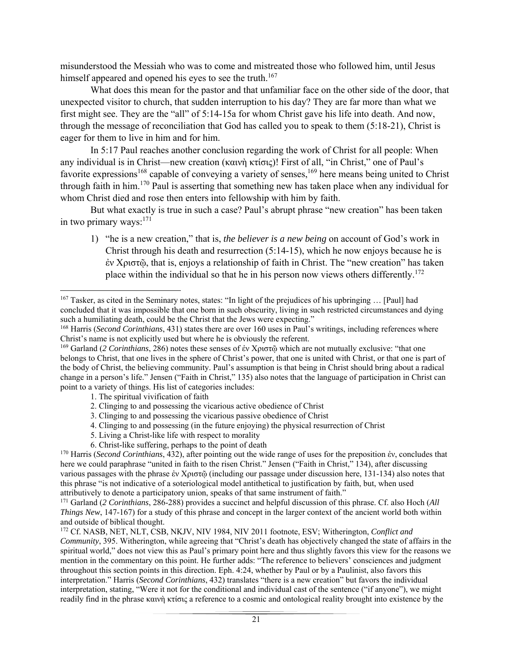misunderstood the Messiah who was to come and mistreated those who followed him, until Jesus himself appeared and opened his eyes to see the truth.<sup>167</sup>

 What does this mean for the pastor and that unfamiliar face on the other side of the door, that unexpected visitor to church, that sudden interruption to his day? They are far more than what we first might see. They are the "all" of 5:14-15a for whom Christ gave his life into death. And now, through the message of reconciliation that God has called you to speak to them (5:18-21), Christ is eager for them to live in him and for him.

 In 5:17 Paul reaches another conclusion regarding the work of Christ for all people: When any individual is in Christ—new creation (καινὴ κτίσις)! First of all, "in Christ," one of Paul's favorite expressions<sup>168</sup> capable of conveying a variety of senses,<sup>169</sup> here means being united to Christ through faith in him.<sup>170</sup> Paul is asserting that something new has taken place when any individual for whom Christ died and rose then enters into fellowship with him by faith.

 But what exactly is true in such a case? Paul's abrupt phrase "new creation" has been taken in two primary ways: $171$ 

1) "he is a new creation," that is, *the believer is a new being* on account of God's work in Christ through his death and resurrection  $(5:14-15)$ , which he now enjoys because he is ἐν Χριστῷ, that is, enjoys a relationship of faith in Christ. The "new creation" has taken place within the individual so that he in his person now views others differently.<sup>172</sup>

1. The spiritual vivification of faith

- 2. Clinging to and possessing the vicarious active obedience of Christ
- 3. Clinging to and possessing the vicarious passive obedience of Christ
- 4. Clinging to and possessing (in the future enjoying) the physical resurrection of Christ
- 5. Living a Christ-like life with respect to morality
- 6. Christ-like suffering, perhaps to the point of death

<sup>167</sup> Tasker, as cited in the Seminary notes, states: "In light of the prejudices of his upbringing … [Paul] had concluded that it was impossible that one born in such obscurity, living in such restricted circumstances and dying such a humiliating death, could be the Christ that the Jews were expecting."

<sup>168</sup> Harris (*Second Corinthians*, 431) states there are over 160 uses in Paul's writings, including references where Christ's name is not explicitly used but where he is obviously the referent.

<sup>169</sup> Garland (*2 Corinthians*, 286) notes these senses of ἐν Χριστῷ which are not mutually exclusive: "that one belongs to Christ, that one lives in the sphere of Christ's power, that one is united with Christ, or that one is part of the body of Christ, the believing community. Paul's assumption is that being in Christ should bring about a radical change in a person's life." Jensen ("Faith in Christ," 135) also notes that the language of participation in Christ can point to a variety of things. His list of categories includes:

<sup>170</sup> Harris (*Second Corinthians*, 432), after pointing out the wide range of uses for the preposition ἐν, concludes that here we could paraphrase "united in faith to the risen Christ." Jensen ("Faith in Christ," 134), after discussing various passages with the phrase ἐν Χριστῷ (including our passage under discussion here, 131-134) also notes that this phrase "is not indicative of a soteriological model antithetical to justification by faith, but, when used attributively to denote a participatory union, speaks of that same instrument of faith."

<sup>171</sup> Garland (*2 Corinthians*, 286-288) provides a succinct and helpful discussion of this phrase. Cf. also Hoch (*All Things New*, 147-167) for a study of this phrase and concept in the larger context of the ancient world both within and outside of biblical thought.

<sup>172</sup> Cf. NASB, NET, NLT, CSB, NKJV, NIV 1984, NIV 2011 footnote, ESV; Witherington, *Conflict and Community*, 395. Witherington, while agreeing that "Christ's death has objectively changed the state of affairs in the spiritual world," does not view this as Paul's primary point here and thus slightly favors this view for the reasons we mention in the commentary on this point. He further adds: "The reference to believers' consciences and judgment throughout this section points in this direction. Eph. 4:24, whether by Paul or by a Paulinist, also favors this interpretation." Harris (*Second Corinthians*, 432) translates "there is a new creation" but favors the individual interpretation, stating, "Were it not for the conditional and individual cast of the sentence ("if anyone"), we might readily find in the phrase καινὴ κτίσις a reference to a cosmic and ontological reality brought into existence by the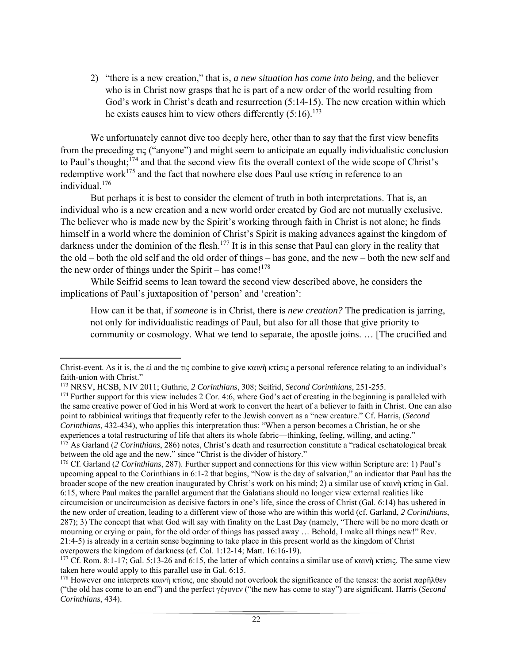2) "there is a new creation," that is, *a new situation has come into being*, and the believer who is in Christ now grasps that he is part of a new order of the world resulting from God's work in Christ's death and resurrection (5:14-15). The new creation within which he exists causes him to view others differently  $(5:16)$ .<sup>173</sup>

 We unfortunately cannot dive too deeply here, other than to say that the first view benefits from the preceding τις ("anyone") and might seem to anticipate an equally individualistic conclusion to Paul's thought;174 and that the second view fits the overall context of the wide scope of Christ's redemptive work<sup>175</sup> and the fact that nowhere else does Paul use κτίσις in reference to an individual.176

 But perhaps it is best to consider the element of truth in both interpretations. That is, an individual who is a new creation and a new world order created by God are not mutually exclusive. The believer who is made new by the Spirit's working through faith in Christ is not alone; he finds himself in a world where the dominion of Christ's Spirit is making advances against the kingdom of darkness under the dominion of the flesh.<sup>177</sup> It is in this sense that Paul can glory in the reality that the old – both the old self and the old order of things – has gone, and the new – both the new self and the new order of things under the Spirit – has come! $178$ 

While Seifrid seems to lean toward the second view described above, he considers the implications of Paul's juxtaposition of 'person' and 'creation':

How can it be that, if *someone* is in Christ, there is *new creation?* The predication is jarring, not only for individualistic readings of Paul, but also for all those that give priority to community or cosmology. What we tend to separate, the apostle joins. … [The crucified and

 Christ-event. As it is, the εἰ and the τις combine to give καινὴ κτίσις a personal reference relating to an individual's faith-union with Christ."

<sup>173</sup> NRSV, HCSB, NIV 2011; Guthrie, *2 Corinthians*, 308; Seifrid, *Second Corinthians*, 251-255.

<sup>&</sup>lt;sup>174</sup> Further support for this view includes 2 Cor. 4:6, where God's act of creating in the beginning is paralleled with the same creative power of God in his Word at work to convert the heart of a believer to faith in Christ. One can also point to rabbinical writings that frequently refer to the Jewish convert as a "new creature." Cf. Harris, (*Second Corinthians*, 432-434), who applies this interpretation thus: "When a person becomes a Christian, he or she experiences a total restructuring of life that alters its whole fabric—thinking, feeling, willing, and acting." <sup>175</sup> As Garland (2 *Corinthians*, 286) notes, Christ's death and resurrection constitute a "radical eschatological break between the old age and the new," since "Christ is the divider of history."

<sup>176</sup> Cf. Garland (*2 Corinthians*, 287). Further support and connections for this view within Scripture are: 1) Paul's upcoming appeal to the Corinthians in 6:1-2 that begins, "Now is the day of salvation," an indicator that Paul has the broader scope of the new creation inaugurated by Christ's work on his mind; 2) a similar use of καινὴ κτίσις in Gal. 6:15, where Paul makes the parallel argument that the Galatians should no longer view external realities like circumcision or uncircumcision as decisive factors in one's life, since the cross of Christ (Gal. 6:14) has ushered in the new order of creation, leading to a different view of those who are within this world (cf. Garland, *2 Corinthians*, 287); 3) The concept that what God will say with finality on the Last Day (namely, "There will be no more death or mourning or crying or pain, for the old order of things has passed away … Behold, I make all things new!" Rev. 21:4-5) is already in a certain sense beginning to take place in this present world as the kingdom of Christ overpowers the kingdom of darkness (cf. Col. 1:12-14; Matt. 16:16-19).

<sup>&</sup>lt;sup>177</sup> Cf. Rom. 8:1-17; Gal. 5:13-26 and 6:15, the latter of which contains a similar use of καινὴ κτίσις. The same view taken here would apply to this parallel use in Gal. 6:15.

<sup>&</sup>lt;sup>178</sup> However one interprets καινὴ κτίσις, one should not overlook the significance of the tenses: the aorist παρῆλθεν ("the old has come to an end") and the perfect γέγονεν ("the new has come to stay") are significant. Harris (*Second Corinthians*, 434).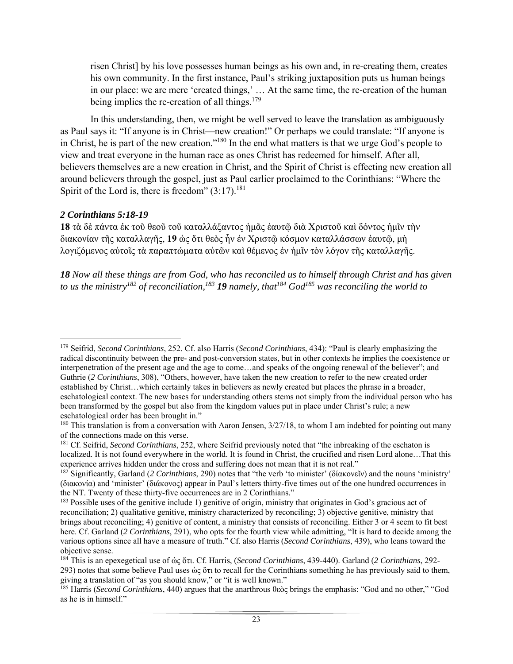risen Christ] by his love possesses human beings as his own and, in re-creating them, creates his own community. In the first instance, Paul's striking juxtaposition puts us human beings in our place: we are mere 'created things,' … At the same time, the re-creation of the human being implies the re-creation of all things. $179$ 

 In this understanding, then, we might be well served to leave the translation as ambiguously as Paul says it: "If anyone is in Christ—new creation!" Or perhaps we could translate: "If anyone is in Christ, he is part of the new creation."180 In the end what matters is that we urge God's people to view and treat everyone in the human race as ones Christ has redeemed for himself. After all, believers themselves are a new creation in Christ, and the Spirit of Christ is effecting new creation all around believers through the gospel, just as Paul earlier proclaimed to the Corinthians: "Where the Spirit of the Lord is, there is freedom"  $(3:17)$ .<sup>181</sup>

### *2 Corinthians 5:18-19*

**18** τὰ δὲ πάντα ἐκ τοῦ θεοῦ τοῦ καταλλάξαντος ἡμᾶς ἑαυτῷ διὰ Χριστοῦ καὶ δόντος ἡμῖν τὴν διακονίαν τῆς καταλλαγῆς, **19** ὡς ὅτι θεὸς ἦν ἐν Χριστῷ κόσμον καταλλάσσων ἑαυτῷ, μὴ λογιζόμενος αὐτοῖς τὰ παραπτώματα αὐτῶν καὶ θέμενος ἐν ἡμῖν τὸν λόγον τῆς καταλλαγῆς.

*18 Now all these things are from God, who has reconciled us to himself through Christ and has given to us the ministry*<sup>182</sup> of reconciliation,<sup>183</sup> **19** *namely, that*<sup>184</sup> God<sup>185</sup> was reconciling the world to

 179 Seifrid, *Second Corinthians*, 252. Cf. also Harris (*Second Corinthians*, 434): "Paul is clearly emphasizing the radical discontinuity between the pre- and post-conversion states, but in other contexts he implies the coexistence or interpenetration of the present age and the age to come…and speaks of the ongoing renewal of the believer"; and Guthrie (*2 Corinthians*, 308), "Others, however, have taken the new creation to refer to the new created order established by Christ…which certainly takes in believers as newly created but places the phrase in a broader, eschatological context. The new bases for understanding others stems not simply from the individual person who has been transformed by the gospel but also from the kingdom values put in place under Christ's rule; a new eschatological order has been brought in."

<sup>&</sup>lt;sup>180</sup> This translation is from a conversation with Aaron Jensen, 3/27/18, to whom I am indebted for pointing out many of the connections made on this verse.

<sup>181</sup> Cf. Seifrid, *Second Corinthians*, 252, where Seifrid previously noted that "the inbreaking of the eschaton is localized. It is not found everywhere in the world. It is found in Christ, the crucified and risen Lord alone…That this experience arrives hidden under the cross and suffering does not mean that it is not real."

<sup>182</sup> Significantly, Garland (*2 Corinthians*, 290) notes that "the verb 'to minister' (δίακονεῖν) and the nouns 'ministry' (διακονία) and 'minister' (διάκονος) appear in Paul's letters thirty-five times out of the one hundred occurrences in the NT. Twenty of these thirty-five occurrences are in 2 Corinthians."

<sup>&</sup>lt;sup>183</sup> Possible uses of the genitive include 1) genitive of origin, ministry that originates in God's gracious act of reconciliation; 2) qualitative genitive, ministry characterized by reconciling; 3) objective genitive, ministry that brings about reconciling; 4) genitive of content, a ministry that consists of reconciling. Either 3 or 4 seem to fit best here. Cf. Garland (*2 Corinthians*, 291), who opts for the fourth view while admitting, "It is hard to decide among the various options since all have a measure of truth." Cf. also Harris (*Second Corinthians*, 439), who leans toward the objective sense.

<sup>184</sup> This is an epexegetical use of ὡς ὅτι. Cf. Harris, (*Second Corinthians*, 439-440). Garland (*2 Corinthians*, 292- 293) notes that some believe Paul uses ὡς ὅτι to recall for the Corinthians something he has previously said to them, giving a translation of "as you should know," or "it is well known."

<sup>185</sup> Harris (*Second Corinthians*, 440) argues that the anarthrous θεὸς brings the emphasis: "God and no other," "God as he is in himself."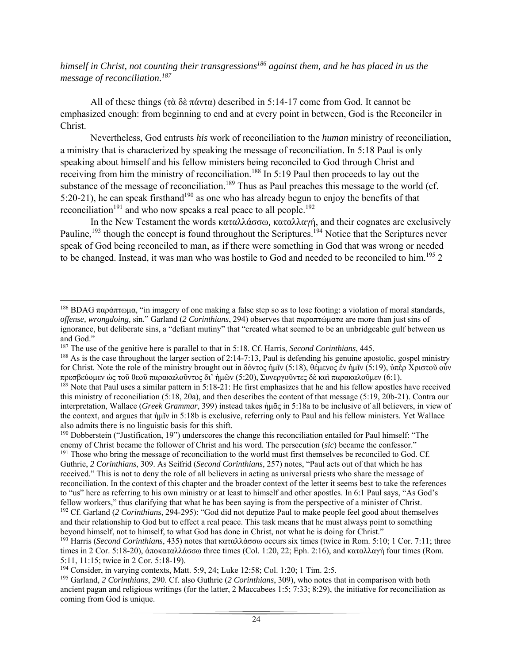*himself in Christ, not counting their transgressions<sup>186</sup> against them, and he has placed in us the message of reconciliation.187*

All of these things (τὰ δὲ πάντα) described in 5:14-17 come from God. It cannot be emphasized enough: from beginning to end and at every point in between, God is the Reconciler in Christ.

 Nevertheless, God entrusts *his* work of reconciliation to the *human* ministry of reconciliation, a ministry that is characterized by speaking the message of reconciliation. In 5:18 Paul is only speaking about himself and his fellow ministers being reconciled to God through Christ and receiving from him the ministry of reconciliation.<sup>188</sup> In 5:19 Paul then proceeds to lay out the substance of the message of reconciliation.<sup>189</sup> Thus as Paul preaches this message to the world (cf. 5:20-21), he can speak firsthand<sup>190</sup> as one who has already begun to enjoy the benefits of that reconciliation<sup>191</sup> and who now speaks a real peace to all people.<sup>192</sup>

 In the New Testament the words καταλλάσσω*,* καταλλαγή, and their cognates are exclusively Pauline,<sup>193</sup> though the concept is found throughout the Scriptures.<sup>194</sup> Notice that the Scriptures never speak of God being reconciled to man, as if there were something in God that was wrong or needed to be changed. Instead, it was man who was hostile to God and needed to be reconciled to him.<sup>195</sup> 2

190 Dobberstein ("Justification, 19") underscores the change this reconciliation entailed for Paul himself: "The enemy of Christ became the follower of Christ and his word. The persecution (*sic*) became the confessor." <sup>191</sup> Those who bring the message of reconciliation to the world must first themselves be reconciled to God. Cf. Guthrie, *2 Corinthians*, 309. As Seifrid (*Second Corinthians*, 257) notes, "Paul acts out of that which he has received." This is not to deny the role of all believers in acting as universal priests who share the message of reconciliation. In the context of this chapter and the broader context of the letter it seems best to take the references to "us" here as referring to his own ministry or at least to himself and other apostles. In 6:1 Paul says, "As God's fellow workers," thus clarifying that what he has been saying is from the perspective of a minister of Christ.

<sup>&</sup>lt;sup>186</sup> BDAG παράπτωμα, "in imagery of one making a false step so as to lose footing: a violation of moral standards, *offense, wrongdoing,* sin." Garland (*2 Corinthians*, 294) observes that παραπτώματα are more than just sins of ignorance, but deliberate sins, a "defiant mutiny" that "created what seemed to be an unbridgeable gulf between us and God."

<sup>187</sup> The use of the genitive here is parallel to that in 5:18. Cf. Harris, *Second Corinthians*, 445.

<sup>&</sup>lt;sup>188</sup> As is the case throughout the larger section of 2:14-7:13, Paul is defending his genuine apostolic, gospel ministry for Christ. Note the role of the ministry brought out in δόντος ἡμῖν (5:18), θέμενος ἐν ἡμῖν (5:19), ὑπὲρ Χριστοῦ οὖν πρεσβεύομεν ὡς τοῦ θεοῦ παρακαλοῦντος δι' ἡμῶν (5:20), Συνεργοῦντες δὲ καὶ παρακαλοῦμεν (6:1).

 $189$  Note that Paul uses a similar pattern in 5:18-21: He first emphasizes that he and his fellow apostles have received this ministry of reconciliation (5:18, 20a), and then describes the content of that message (5:19, 20b-21). Contra our interpretation, Wallace (*Greek Grammar*, 399) instead takes ἡμᾶς in 5:18a to be inclusive of all believers, in view of the context, and argues that ἡμῖν in 5:18b is exclusive, referring only to Paul and his fellow ministers. Yet Wallace also admits there is no linguistic basis for this shift.

<sup>&</sup>lt;sup>192</sup> Cf. Garland (2 *Corinthians*, 294-295): "God did not deputize Paul to make people feel good about themselves and their relationship to God but to effect a real peace. This task means that he must always point to something beyond himself, not to himself, to what God has done in Christ, not what he is doing for Christ."

<sup>193</sup> Harris (*Second Corinthians*, 435) notes that καταλλάσσω occurs six times (twice in Rom. 5:10; 1 Cor. 7:11; three times in 2 Cor. 5:18-20), ἀποκαταλλάσσω three times (Col. 1:20, 22; Eph. 2:16), and καταλλαγή four times (Rom. 5:11, 11:15; twice in 2 Cor. 5:18-19).

<sup>194</sup> Consider, in varying contexts, Matt. 5:9, 24; Luke 12:58; Col. 1:20; 1 Tim. 2:5.

<sup>195</sup> Garland, *2 Corinthians*, 290. Cf. also Guthrie (*2 Corinthians*, 309), who notes that in comparison with both ancient pagan and religious writings (for the latter, 2 Maccabees 1:5; 7:33; 8:29), the initiative for reconciliation as coming from God is unique.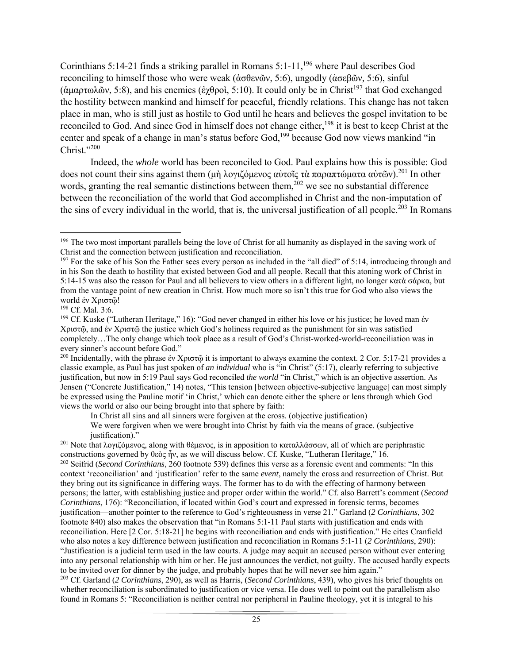Corinthians 5:14-21 finds a striking parallel in Romans 5:1-11,<sup>196</sup> where Paul describes God reconciling to himself those who were weak (ἀσθενῶν, 5:6), ungodly (ἀσεβῶν*,* 5:6), sinful (άμαρτωλῶν, 5:8), and his enemies (ἐχθροὶ, 5:10). It could only be in Christ<sup>197</sup> that God exchanged the hostility between mankind and himself for peaceful, friendly relations. This change has not taken place in man, who is still just as hostile to God until he hears and believes the gospel invitation to be reconciled to God. And since God in himself does not change either,<sup>198</sup> it is best to keep Christ at the center and speak of a change in man's status before God,<sup>199</sup> because God now views mankind "in Christ."200

 Indeed, the *whole* world has been reconciled to God. Paul explains how this is possible: God does not count their sins against them (μὴ λογιζόμενος αὐτοῖς τὰ παραπτώματα αὐτῶν).<sup>201</sup> In other words, granting the real semantic distinctions between them,  $202$  we see no substantial difference between the reconciliation of the world that God accomplished in Christ and the non-imputation of the sins of every individual in the world, that is, the universal justification of all people.<sup>203</sup> In Romans

In Christ all sins and all sinners were forgiven at the cross. (objective justification)

We were forgiven when we were brought into Christ by faith via the means of grace. (subjective justification)."

<sup>201</sup> Note that λογιζόμενος, along with θέμενος, is in apposition to καταλλάσσων, all of which are periphrastic constructions governed by θεὸς ἦν, as we will discuss below. Cf. Kuske, "Lutheran Heritage," 16. 202 Seifrid (*Second Corinthians*, 260 footnote 539) defines this verse as a forensic event and comments: "In this context 'reconciliation' and 'justification' refer to the same *event*, namely the cross and resurrection of Christ. But they bring out its significance in differing ways. The former has to do with the effecting of harmony between persons; the latter, with establishing justice and proper order within the world." Cf. also Barrett's comment (*Second Corinthians*, 176): "Reconciliation, if located within God's court and expressed in forensic terms, becomes justification—another pointer to the reference to God's righteousness in verse 21." Garland (*2 Corinthians*, 302 footnote 840) also makes the observation that "in Romans 5:1-11 Paul starts with justification and ends with reconciliation. Here [2 Cor. 5:18-21] he begins with reconciliation and ends with justification." He cites Cranfield who also notes a key difference between justification and reconciliation in Romans 5:1-11 (*2 Corinthians*, 290): "Justification is a judicial term used in the law courts. A judge may acquit an accused person without ever entering into any personal relationship with him or her. He just announces the verdict, not guilty. The accused hardly expects to be invited over for dinner by the judge, and probably hopes that he will never see him again."

203 Cf. Garland (*2 Corinthians*, 290), as well as Harris, (*Second Corinthians*, 439), who gives his brief thoughts on whether reconciliation is subordinated to justification or vice versa. He does well to point out the parallelism also found in Romans 5: "Reconciliation is neither central nor peripheral in Pauline theology, yet it is integral to his

 <sup>196</sup> The two most important parallels being the love of Christ for all humanity as displayed in the saving work of Christ and the connection between justification and reconciliation.

 $197$  For the sake of his Son the Father sees every person as included in the "all died" of 5:14, introducing through and in his Son the death to hostility that existed between God and all people. Recall that this atoning work of Christ in 5:14-15 was also the reason for Paul and all believers to view others in a different light, no longer κατὰ σάρκα, but from the vantage point of new creation in Christ. How much more so isn't this true for God who also views the world ἐν Χριστῷ!

<sup>&</sup>lt;sup>198</sup> Cf. Mal. 3:6.

<sup>&</sup>lt;sup>199</sup> Cf. Kuske ("Lutheran Heritage," 16): "God never changed in either his love or his justice; he loved man έν Χριστῷ, and ἐν Χριστῷ the justice which God's holiness required as the punishment for sin was satisfied completely…The only change which took place as a result of God's Christ-worked-world-reconciliation was in every sinner's account before God."

<sup>&</sup>lt;sup>200</sup> Incidentally, with the phrase ἐν Χριστῷ it is important to always examine the context. 2 Cor. 5:17-21 provides a classic example, as Paul has just spoken of *an individual* who is "in Christ" (5:17), clearly referring to subjective justification, but now in 5:19 Paul says God reconciled *the world* "in Christ," which is an objective assertion. As Jensen ("Concrete Justification," 14) notes, "This tension [between objective-subjective language] can most simply be expressed using the Pauline motif 'in Christ,' which can denote either the sphere or lens through which God views the world or also our being brought into that sphere by faith: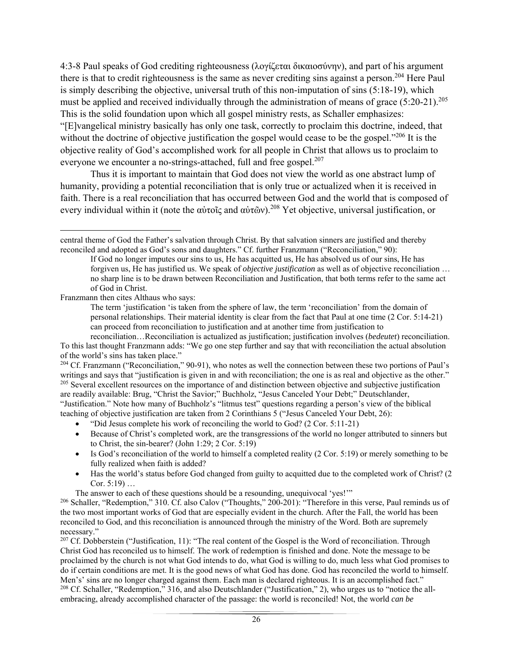4:3-8 Paul speaks of God crediting righteousness (λογίζεται δικαιοσύνην), and part of his argument there is that to credit righteousness is the same as never crediting sins against a person.<sup>204</sup> Here Paul is simply describing the objective, universal truth of this non-imputation of sins (5:18-19), which must be applied and received individually through the administration of means of grace  $(5:20-21).^{205}$ This is the solid foundation upon which all gospel ministry rests, as Schaller emphasizes:

"[E]vangelical ministry basically has only one task, correctly to proclaim this doctrine, indeed, that without the doctrine of objective justification the gospel would cease to be the gospel."<sup>206</sup> It is the objective reality of God's accomplished work for all people in Christ that allows us to proclaim to everyone we encounter a no-strings-attached, full and free gospel.<sup>207</sup>

 Thus it is important to maintain that God does not view the world as one abstract lump of humanity, providing a potential reconciliation that is only true or actualized when it is received in faith. There is a real reconciliation that has occurred between God and the world that is composed of every individual within it (note the αὐτοῖς and αὐτῶν).<sup>208</sup> Yet objective, universal justification, or

Franzmann then cites Althaus who says:

The term 'justification 'is taken from the sphere of law, the term 'reconciliation' from the domain of personal relationships. Their material identity is clear from the fact that Paul at one time (2 Cor. 5:14-21) can proceed from reconciliation to justification and at another time from justification to

reconciliation…Reconciliation is actualized as justification; justification involves (*bedeutet*) reconciliation. To this last thought Franzmann adds: "We go one step further and say that with reconciliation the actual absolution of the world's sins has taken place."

<sup>204</sup> Cf. Franzmann ("Reconciliation," 90-91), who notes as well the connection between these two portions of Paul's writings and says that "justification is given in and with reconciliation; the one is as real and objective as the other." <sup>205</sup> Several excellent resources on the importance of and distinction between objective and subjective justification are readily available: Brug, "Christ the Savior;" Buchholz, "Jesus Canceled Your Debt;" Deutschlander, "Justification." Note how many of Buchholz's "litmus test" questions regarding a person's view of the biblical teaching of objective justification are taken from 2 Corinthians 5 ("Jesus Canceled Your Debt, 26):

• "Did Jesus complete his work of reconciling the world to God? (2 Cor. 5:11-21)

- Because of Christ's completed work, are the transgressions of the world no longer attributed to sinners but to Christ, the sin-bearer? (John 1:29; 2 Cor. 5:19)
- $\bullet$  Is God's reconciliation of the world to himself a completed reality (2 Cor. 5:19) or merely something to be fully realized when faith is added?
- Has the world's status before God changed from guilty to acquitted due to the completed work of Christ? (2) Cor. 5:19) …

The answer to each of these questions should be a resounding, unequivocal 'yes!'"

<sup>207</sup> Cf. Dobberstein ("Justification, 11): "The real content of the Gospel is the Word of reconciliation. Through Christ God has reconciled us to himself. The work of redemption is finished and done. Note the message to be proclaimed by the church is not what God intends to do, what God is willing to do, much less what God promises to do if certain conditions are met. It is the good news of what God has done. God has reconciled the world to himself. Men's' sins are no longer charged against them. Each man is declared righteous. It is an accomplished fact." 208 Cf. Schaller, "Redemption," 316, and also Deutschlander ("Justification," 2), who urges us to "notice the allembracing, already accomplished character of the passage: the world is reconciled! Not, the world *can be* 

 central theme of God the Father's salvation through Christ. By that salvation sinners are justified and thereby reconciled and adopted as God's sons and daughters." Cf. further Franzmann ("Reconciliation," 90):

If God no longer imputes our sins to us, He has acquitted us, He has absolved us of our sins, He has forgiven us, He has justified us. We speak of *objective justification* as well as of objective reconciliation … no sharp line is to be drawn between Reconciliation and Justification, that both terms refer to the same act of God in Christ.

<sup>&</sup>lt;sup>206</sup> Schaller, "Redemption," 310. Cf. also Calov ("Thoughts," 200-201): "Therefore in this verse, Paul reminds us of the two most important works of God that are especially evident in the church. After the Fall, the world has been reconciled to God, and this reconciliation is announced through the ministry of the Word. Both are supremely necessary."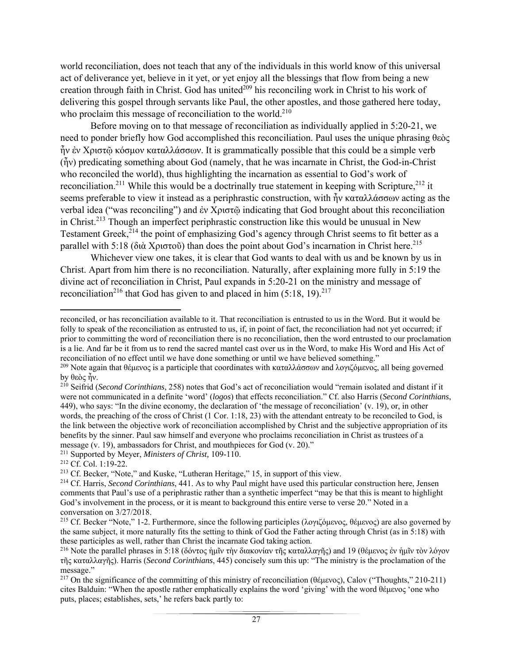world reconciliation, does not teach that any of the individuals in this world know of this universal act of deliverance yet, believe in it yet, or yet enjoy all the blessings that flow from being a new creation through faith in Christ. God has united<sup>209</sup> his reconciling work in Christ to his work of delivering this gospel through servants like Paul, the other apostles, and those gathered here today, who proclaim this message of reconciliation to the world. $2^{10}$ 

 Before moving on to that message of reconciliation as individually applied in 5:20-21, we need to ponder briefly how God accomplished this reconciliation. Paul uses the unique phrasing θεὸς ἦν ἐν Χριστῷ κόσμον καταλλάσσων. It is grammatically possible that this could be a simple verb (ἦν) predicating something about God (namely, that he was incarnate in Christ, the God-in-Christ who reconciled the world), thus highlighting the incarnation as essential to God's work of reconciliation.<sup>211</sup> While this would be a doctrinally true statement in keeping with Scripture,<sup>212</sup> it seems preferable to view it instead as a periphrastic construction, with ἦν καταλλάσσων acting as the verbal idea ("was reconciling") and ἐν Χριστῷ indicating that God brought about this reconciliation in Christ.<sup>213</sup> Though an imperfect periphrastic construction like this would be unusual in New Testament Greek,<sup>214</sup> the point of emphasizing God's agency through Christ seems to fit better as a parallel with 5:18 (διὰ Χριστοῦ) than does the point about God's incarnation in Christ here.<sup>215</sup>

 Whichever view one takes, it is clear that God wants to deal with us and be known by us in Christ. Apart from him there is no reconciliation. Naturally, after explaining more fully in 5:19 the divine act of reconciliation in Christ, Paul expands in 5:20-21 on the ministry and message of reconciliation<sup>216</sup> that God has given to and placed in him  $(5:18, 19).^{217}$ 

 reconciled, or has reconciliation available to it. That reconciliation is entrusted to us in the Word. But it would be folly to speak of the reconciliation as entrusted to us, if, in point of fact, the reconciliation had not yet occurred; if prior to committing the word of reconciliation there is no reconciliation, then the word entrusted to our proclamation is a lie. And far be it from us to rend the sacred mantel cast over us in the Word, to make His Word and His Act of reconciliation of no effect until we have done something or until we have believed something."

<sup>209</sup> Note again that θέμενος is a participle that coordinates with καταλλάσσων and λογιζόμενος, all being governed by θεὸς ἦν.

<sup>210</sup> Seifrid (*Second Corinthians*, 258) notes that God's act of reconciliation would "remain isolated and distant if it were not communicated in a definite 'word' (*logos*) that effects reconciliation." Cf. also Harris (*Second Corinthians*, 449), who says: "In the divine economy, the declaration of 'the message of reconciliation' (v. 19), or, in other words, the preaching of the cross of Christ (1 Cor. 1:18, 23) with the attendant entreaty to be reconciled to God, is the link between the objective work of reconciliation accomplished by Christ and the subjective appropriation of its benefits by the sinner. Paul saw himself and everyone who proclaims reconciliation in Christ as trustees of a message (v. 19), ambassadors for Christ, and mouthpieces for God (v. 20)."<br><sup>211</sup> Supported by Meyer, *Ministers of Christ*, 109-110.<br><sup>212</sup> Cf. Col. 1:19-22.<br><sup>213</sup> Cf. Becker, "Note," and Kuske, "Lutheran Heritage," 15, in

<sup>&</sup>lt;sup>214</sup> Cf. Harris, *Second Corinthians*, 441. As to why Paul might have used this particular construction here, Jensen comments that Paul's use of a periphrastic rather than a synthetic imperfect "may be that this is meant to highlight God's involvement in the process, or it is meant to background this entire verse to verse 20." Noted in a conversation on 3/27/2018.

<sup>215</sup> Cf. Becker "Note," 1-2. Furthermore, since the following participles (λογιζόμενος, θέμενος) are also governed by the same subject, it more naturally fits the setting to think of God the Father acting through Christ (as in 5:18) with these participles as well, rather than Christ the incarnate God taking action.

<sup>&</sup>lt;sup>216</sup> Note the parallel phrases in 5:18 (δόντος ἡμῖν τὴν διακονίαν τῆς καταλλαγῆς) and 19 (θέμενος ἐν ἡμῖν τὸν λόγον τῆς καταλλαγῆς). Harris (*Second Corinthians*, 445) concisely sum this up: "The ministry is the proclamation of the message."

<sup>217</sup> On the significance of the committing of this ministry of reconciliation (θέμενος), Calov ("Thoughts," 210-211) cites Balduin: "When the apostle rather emphatically explains the word 'giving' with the word θέμενος 'one who puts, places; establishes, sets,' he refers back partly to: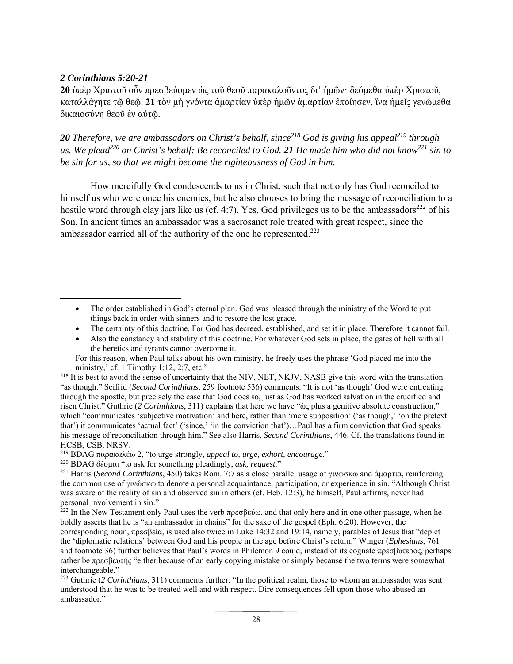### *2 Corinthians 5:20-21*

**20** ύπερ Χριστοῦ οὖν πρεσβεύομεν ὡς τοῦ θεοῦ παρακαλοῦντος δι' ἡμῶν· δεόμεθα ὑπερ Χριστοῦ, καταλλάγητε τῷ θεῷ. **21** τὸν μὴ γνόντα ἁμαρτίαν ὑπὲρ ἡμῶν ἁμαρτίαν ἐποίησεν, ἵνα ἡμεῖς γενώμεθα δικαιοσύνη θεοῦ ἐν αὐτῷ.

20 *Therefore, we are ambassadors on Christ's behalf, since*<sup>218</sup> God is giving his appeal<sup>219</sup> through *us. We plead220 on Christ's behalf: Be reconciled to God. 21 He made him who did not know221 sin to be sin for us, so that we might become the righteousness of God in him.* 

 How mercifully God condescends to us in Christ, such that not only has God reconciled to himself us who were once his enemies, but he also chooses to bring the message of reconciliation to a hostile word through clay jars like us (cf. 4:7). Yes, God privileges us to be the ambassadors<sup>222</sup> of his Son. In ancient times an ambassador was a sacrosanct role treated with great respect, since the ambassador carried all of the authority of the one he represented.<sup>223</sup>

- The certainty of this doctrine. For God has decreed, established, and set it in place. Therefore it cannot fail.
- Also the constancy and stability of this doctrine. For whatever God sets in place, the gates of hell with all the heretics and tyrants cannot overcome it.

219 BDAG παρακαλέω 2, "to urge strongly, *appeal to, urge, exhort, encourage*."

<sup>221</sup> Harris (*Second Corinthians*, 450) takes Rom. 7:7 as a close parallel usage of γινώσκω and ἀμαρτία, reinforcing the common use of γινώσκω to denote a personal acquaintance, participation, or experience in sin. "Although Christ was aware of the reality of sin and observed sin in others (cf. Heb. 12:3), he himself, Paul affirms, never had personal involvement in sin."

 $222$  In the New Testament only Paul uses the verb πρεσβεύω, and that only here and in one other passage, when he boldly asserts that he is "an ambassador in chains" for the sake of the gospel (Eph. 6:20). However, the corresponding noun, πρεσβεία, is used also twice in Luke 14:32 and 19:14, namely, parables of Jesus that "depict the 'diplomatic relations' between God and his people in the age before Christ's return." Winger (*Ephesians*, 761 and footnote 36) further believes that Paul's words in Philemon 9 could, instead of its cognate πρεσβύτερος, perhaps rather be πρεσβευτής "either because of an early copying mistake or simply because the two terms were somewhat interchangeable."

223 Guthrie (*2 Corinthians*, 311) comments further: "In the political realm, those to whom an ambassador was sent understood that he was to be treated well and with respect. Dire consequences fell upon those who abused an ambassador."

 The order established in God's eternal plan. God was pleased through the ministry of the Word to put things back in order with sinners and to restore the lost grace.

For this reason, when Paul talks about his own ministry, he freely uses the phrase 'God placed me into the ministry,' cf. 1 Timothy 1:12, 2:7, etc."

<sup>&</sup>lt;sup>218</sup> It is best to avoid the sense of uncertainty that the NIV, NET, NKJV, NASB give this word with the translation "as though." Seifrid (*Second Corinthians*, 259 footnote 536) comments: "It is not 'as though' God were entreating through the apostle, but precisely the case that God does so, just as God has worked salvation in the crucified and risen Christ." Guthrie (*2 Corinthians*, 311) explains that here we have "ὡς plus a genitive absolute construction," which "communicates 'subjective motivation' and here, rather than 'mere supposition' ('as though,' 'on the pretext that') it communicates 'actual fact' ('since,' 'in the conviction that')…Paul has a firm conviction that God speaks his message of reconciliation through him." See also Harris, *Second Corinthians*, 446. Cf. the translations found in HCSB, CSB, NRSV.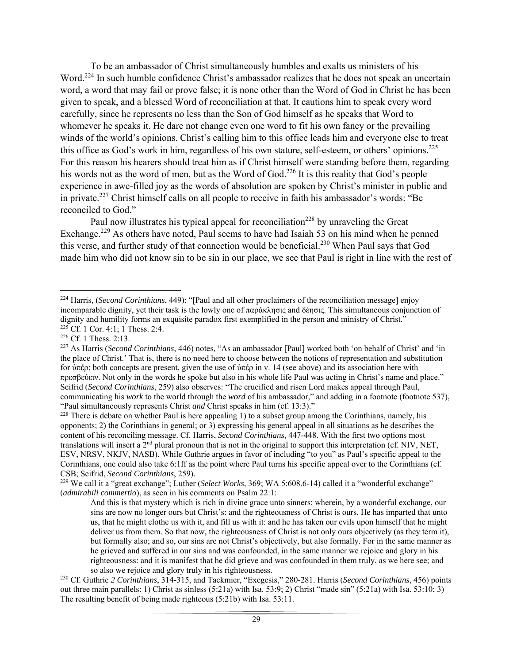To be an ambassador of Christ simultaneously humbles and exalts us ministers of his Word.<sup>224</sup> In such humble confidence Christ's ambassador realizes that he does not speak an uncertain word, a word that may fail or prove false; it is none other than the Word of God in Christ he has been given to speak, and a blessed Word of reconciliation at that. It cautions him to speak every word carefully, since he represents no less than the Son of God himself as he speaks that Word to whomever he speaks it. He dare not change even one word to fit his own fancy or the prevailing winds of the world's opinions. Christ's calling him to this office leads him and everyone else to treat this office as God's work in him, regardless of his own stature, self-esteem, or others' opinions.225 For this reason his hearers should treat him as if Christ himself were standing before them, regarding his words not as the word of men, but as the Word of God.<sup>226</sup> It is this reality that God's people experience in awe-filled joy as the words of absolution are spoken by Christ's minister in public and in private.<sup>227</sup> Christ himself calls on all people to receive in faith his ambassador's words: "Be reconciled to God."

Paul now illustrates his typical appeal for reconciliation<sup>228</sup> by unraveling the Great Exchange.<sup>229</sup> As others have noted, Paul seems to have had Isaiah 53 on his mind when he penned this verse, and further study of that connection would be beneficial.<sup>230</sup> When Paul says that God made him who did not know sin to be sin in our place, we see that Paul is right in line with the rest of

<sup>224</sup> Harris, (*Second Corinthians*, 449): "[Paul and all other proclaimers of the reconciliation message] enjoy incomparable dignity, yet their task is the lowly one of παράκλησις and δέησις. This simultaneous conjunction of dignity and humility forms an exquisite paradox first exemplified in the person and ministry of Christ."  $225$  Cf. 1 Cor. 4:1; 1 Thess. 2:4.

<sup>226</sup> Cf. 1 Thess. 2:13.

<sup>227</sup> As Harris (*Second Corinthians*, 446) notes, "As an ambassador [Paul] worked both 'on behalf of Christ' and 'in the place of Christ.' That is, there is no need here to choose between the notions of representation and substitution for ὑπέρ; both concepts are present, given the use of ὑπέρ in v. 14 (see above) and its association here with πρεσβεύειν. Not only in the words he spoke but also in his whole life Paul was acting in Christ's name and place." Seifrid (*Second Corinthians*, 259) also observes: "The crucified and risen Lord makes appeal through Paul, communicating his *work* to the world through the *word* of his ambassador," and adding in a footnote (footnote 537), "Paul simultaneously represents Christ *and* Christ speaks in him (cf. 13:3)."

<sup>&</sup>lt;sup>228</sup> There is debate on whether Paul is here appealing 1) to a subset group among the Corinthians, namely, his opponents; 2) the Corinthians in general; or  $3$ ) expressing his general appeal in all situations as he describes the content of his reconciling message. Cf. Harris, *Second Corinthians*, 447-448. With the first two options most translations will insert a  $2<sup>nd</sup>$  plural pronoun that is not in the original to support this interpretation (cf. NIV, NET, ESV, NRSV, NKJV, NASB). While Guthrie argues in favor of including "to you" as Paul's specific appeal to the Corinthians, one could also take 6:1ff as the point where Paul turns his specific appeal over to the Corinthians (cf. CSB; Seifrid, *Second Corinthians*, 259).

<sup>229</sup> We call it a "great exchange"; Luther (*Select Works*, 369; WA 5:608.6-14) called it a "wonderful exchange" (*admirabili commertio*), as seen in his comments on Psalm 22:1:

And this is that mystery which is rich in divine grace unto sinners: wherein, by a wonderful exchange, our sins are now no longer ours but Christ's: and the righteousness of Christ is ours. He has imparted that unto us, that he might clothe us with it, and fill us with it: and he has taken our evils upon himself that he might deliver us from them. So that now, the righteousness of Christ is not only ours objectively (as they term it), but formally also; and so, our sins are not Christ's objectively, but also formally. For in the same manner as he grieved and suffered in our sins and was confounded, in the same manner we rejoice and glory in his righteousness: and it is manifest that he did grieve and was confounded in them truly, as we here see; and so also we rejoice and glory truly in his righteousness.

<sup>230</sup> Cf. Guthrie *2 Corinthians*, 314-315, and Tackmier, "Exegesis," 280-281. Harris (*Second Corinthians*, 456) points out three main parallels: 1) Christ as sinless (5:21a) with Isa. 53:9; 2) Christ "made sin" (5:21a) with Isa. 53:10; 3) The resulting benefit of being made righteous (5:21b) with Isa. 53:11.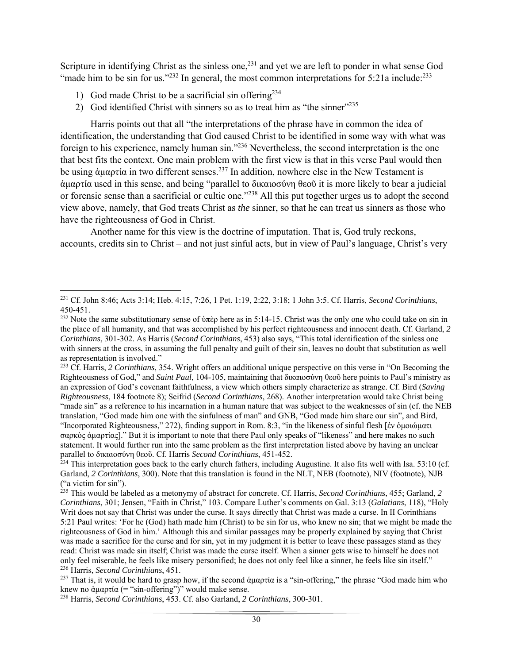Scripture in identifying Christ as the sinless one,<sup>231</sup> and yet we are left to ponder in what sense God "made him to be sin for us."<sup>232</sup> In general, the most common interpretations for 5:21a include:<sup>233</sup>

- 1) God made Christ to be a sacrificial sin offering<sup>234</sup>
- 2) God identified Christ with sinners so as to treat him as "the sinner"<sup>235</sup>

 Harris points out that all "the interpretations of the phrase have in common the idea of identification, the understanding that God caused Christ to be identified in some way with what was foreign to his experience, namely human sin."236 Nevertheless, the second interpretation is the one that best fits the context. One main problem with the first view is that in this verse Paul would then be using άμαρτία in two different senses.<sup>237</sup> In addition, nowhere else in the New Testament is ἁμαρτία used in this sense, and being "parallel to δικαιοσύνη θεοῦ it is more likely to bear a judicial or forensic sense than a sacrificial or cultic one."238 All this put together urges us to adopt the second view above, namely, that God treats Christ as *the* sinner, so that he can treat us sinners as those who have the righteousness of God in Christ.

 Another name for this view is the doctrine of imputation. That is, God truly reckons, accounts, credits sin to Christ – and not just sinful acts, but in view of Paul's language, Christ's very

 231 Cf. John 8:46; Acts 3:14; Heb. 4:15, 7:26, 1 Pet. 1:19, 2:22, 3:18; 1 John 3:5. Cf. Harris, *Second Corinthians*, 450-451.

<sup>&</sup>lt;sup>232</sup> Note the same substitutionary sense of ὑπὲρ here as in 5:14-15. Christ was the only one who could take on sin in the place of all humanity, and that was accomplished by his perfect righteousness and innocent death. Cf. Garland, *2 Corinthians*, 301-302. As Harris (*Second Corinthians*, 453) also says, "This total identification of the sinless one with sinners at the cross, in assuming the full penalty and guilt of their sin, leaves no doubt that substitution as well as representation is involved."

<sup>233</sup> Cf. Harris, *2 Corinthians*, 354. Wright offers an additional unique perspective on this verse in "On Becoming the Righteousness of God," and *Saint Paul*, 104-105, maintaining that δικαιοσύνη θεοῦ here points to Paul's ministry as an expression of God's covenant faithfulness, a view which others simply characterize as strange. Cf. Bird (*Saving Righteousness*, 184 footnote 8); Seifrid (*Second Corinthians*, 268). Another interpretation would take Christ being "made sin" as a reference to his incarnation in a human nature that was subject to the weaknesses of sin (cf. the NEB translation, "God made him one with the sinfulness of man" and GNB, "God made him share our sin", and Bird, "Incorporated Righteousness," 272), finding support in Rom. 8:3, "in the likeness of sinful flesh [ἐν ὁμοιώματι σαρκὸς ἁμαρτίας]." But it is important to note that there Paul only speaks of "likeness" and here makes no such statement. It would further run into the same problem as the first interpretation listed above by having an unclear parallel to δικαιοσύνη θεοῦ. Cf. Harris *Second Corinthians*, 451-452.

 $234$  This interpretation goes back to the early church fathers, including Augustine. It also fits well with Isa. 53:10 (cf. Garland, *2 Corinthians*, 300). Note that this translation is found in the NLT, NEB (footnote), NIV (footnote), NJB ("a victim for sin").

<sup>235</sup> This would be labeled as a metonymy of abstract for concrete. Cf. Harris, *Second Corinthians*, 455; Garland, *2 Corinthians*, 301; Jensen, "Faith in Christ," 103. Compare Luther's comments on Gal. 3:13 (*Galatians*, 118), "Holy Writ does not say that Christ was under the curse. It says directly that Christ was made a curse. In II Corinthians 5:21 Paul writes: 'For he (God) hath made him (Christ) to be sin for us, who knew no sin; that we might be made the righteousness of God in him.' Although this and similar passages may be properly explained by saying that Christ was made a sacrifice for the curse and for sin, yet in my judgment it is better to leave these passages stand as they read: Christ was made sin itself; Christ was made the curse itself. When a sinner gets wise to himself he does not only feel miserable, he feels like misery personified; he does not only feel like a sinner, he feels like sin itself." 236 Harris, *Second Corinthians*, 451.

<sup>&</sup>lt;sup>237</sup> That is, it would be hard to grasp how, if the second άμαρτία is a "sin-offering," the phrase "God made him who knew no ἀμαρτία (= "sin-offering")" would make sense.

<sup>238</sup> Harris, *Second Corinthians*, 453. Cf. also Garland, *2 Corinthians*, 300-301.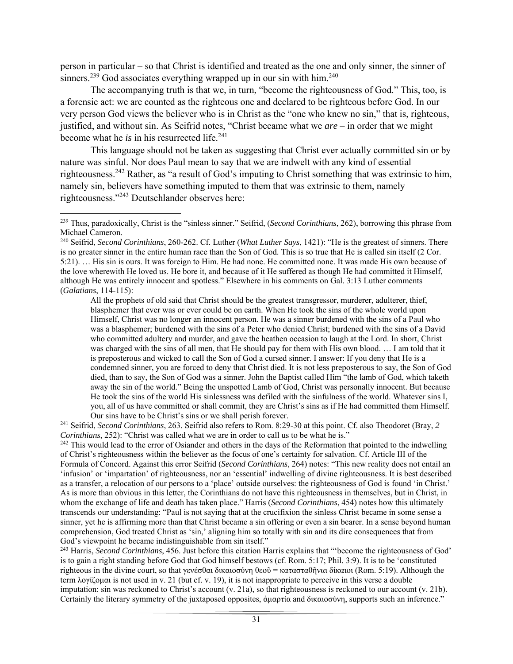person in particular – so that Christ is identified and treated as the one and only sinner, the sinner of sinners.<sup>239</sup> God associates everything wrapped up in our sin with him.<sup>240</sup>

 The accompanying truth is that we, in turn, "become the righteousness of God." This, too, is a forensic act: we are counted as the righteous one and declared to be righteous before God. In our very person God views the believer who is in Christ as the "one who knew no sin," that is, righteous, justified, and without sin. As Seifrid notes, "Christ became what we *are* – in order that we might become what he *is* in his resurrected life.<sup>241</sup>

 This language should not be taken as suggesting that Christ ever actually committed sin or by nature was sinful. Nor does Paul mean to say that we are indwelt with any kind of essential righteousness.242 Rather, as "a result of God's imputing to Christ something that was extrinsic to him, namely sin, believers have something imputed to them that was extrinsic to them, namely righteousness."243 Deutschlander observes here:

All the prophets of old said that Christ should be the greatest transgressor, murderer, adulterer, thief, blasphemer that ever was or ever could be on earth. When He took the sins of the whole world upon Himself, Christ was no longer an innocent person. He was a sinner burdened with the sins of a Paul who was a blasphemer; burdened with the sins of a Peter who denied Christ; burdened with the sins of a David who committed adultery and murder, and gave the heathen occasion to laugh at the Lord. In short, Christ was charged with the sins of all men, that He should pay for them with His own blood. … I am told that it is preposterous and wicked to call the Son of God a cursed sinner. I answer: If you deny that He is a condemned sinner, you are forced to deny that Christ died. It is not less preposterous to say, the Son of God died, than to say, the Son of God was a sinner. John the Baptist called Him "the lamb of God, which taketh away the sin of the world." Being the unspotted Lamb of God, Christ was personally innocent. But because He took the sins of the world His sinlessness was defiled with the sinfulness of the world. Whatever sins I, you, all of us have committed or shall commit, they are Christ's sins as if He had committed them Himself.<br>Our sins have to be Christ's sins or we shall perish forever.

<sup>241</sup> Seifrid, *Second Corinthians*, 263. Seifrid also refers to Rom. 8:29-30 at this point. Cf. also Theodoret (Bray, 2 *Corinthians*, 252): "Christ was called what we are in order to call us to be what he is."<br><sup>242</sup> This would lead to the error of Osiander and others in the days of the Reformation that pointed to the indwelling

of Christ's righteousness within the believer as the focus of one's certainty for salvation. Cf. Article III of the Formula of Concord. Against this error Seifrid (*Second Corinthians*, 264) notes: "This new reality does not entail an 'infusion' or 'impartation' of righteousness, nor an 'essential' indwelling of divine righteousness. It is best described as a transfer, a relocation of our persons to a 'place' outside ourselves: the righteousness of God is found 'in Christ.' As is more than obvious in this letter, the Corinthians do not have this righteousness in themselves, but in Christ, in whom the exchange of life and death has taken place." Harris (*Second Corinthians*, 454) notes how this ultimately transcends our understanding: "Paul is not saying that at the crucifixion the sinless Christ became in some sense a sinner, yet he is affirming more than that Christ became a sin offering or even a sin bearer. In a sense beyond human comprehension, God treated Christ as 'sin,' aligning him so totally with sin and its dire consequences that from God's viewpoint he became indistinguishable from sin itself."

243 Harris, *Second Corinthians*, 456. Just before this citation Harris explains that "'become the righteousness of God' is to gain a right standing before God that God himself bestows (cf. Rom. 5:17; Phil. 3:9). It is to be 'constituted righteous in the divine court, so that γενέσθαι δικαιοσύνη θεοῦ = κατασταθῆναι δίκαιοι (Rom. 5:19). Although the term λογίζομαι is not used in v. 21 (but cf. v. 19), it is not inappropriate to perceive in this verse a double imputation: sin was reckoned to Christ's account (v. 21a), so that righteousness is reckoned to our account (v. 21b). Certainly the literary symmetry of the juxtaposed opposites, ἁμαρτία and δικαιοσύνη, supports such an inference."

<sup>239</sup> Thus, paradoxically, Christ is the "sinless sinner." Seifrid, (*Second Corinthians*, 262), borrowing this phrase from Michael Cameron.

<sup>240</sup> Seifrid, *Second Corinthians*, 260-262. Cf. Luther (*What Luther Says*, 1421): "He is the greatest of sinners. There is no greater sinner in the entire human race than the Son of God. This is so true that He is called sin itself (2 Cor. 5:21). … His sin is ours. It was foreign to Him. He had none. He committed none. It was made His own because of the love wherewith He loved us. He bore it, and because of it He suffered as though He had committed it Himself, although He was entirely innocent and spotless." Elsewhere in his comments on Gal. 3:13 Luther comments (*Galatians*, 114-115):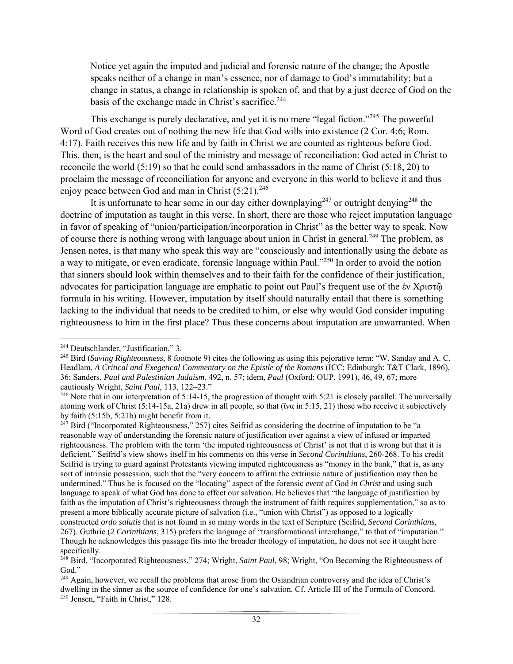Notice yet again the imputed and judicial and forensic nature of the change; the Apostle speaks neither of a change in man's essence, nor of damage to God's immutability; but a change in status, a change in relationship is spoken of, and that by a just decree of God on the basis of the exchange made in Christ's sacrifice.<sup>244</sup>

This exchange is purely declarative, and yet it is no mere "legal fiction."<sup>245</sup> The powerful Word of God creates out of nothing the new life that God wills into existence (2 Cor. 4:6; Rom. 4:17). Faith receives this new life and by faith in Christ we are counted as righteous before God. This, then, is the heart and soul of the ministry and message of reconciliation: God acted in Christ to reconcile the world (5:19) so that he could send ambassadors in the name of Christ (5:18, 20) to proclaim the message of reconciliation for anyone and everyone in this world to believe it and thus enjoy peace between God and man in Christ  $(5:21).^{246}$ 

It is unfortunate to hear some in our day either downplaying<sup>247</sup> or outright denying<sup>248</sup> the doctrine of imputation as taught in this verse. In short, there are those who reject imputation language in favor of speaking of "union/participation/incorporation in Christ" as the better way to speak. Now of course there is nothing wrong with language about union in Christ in general.<sup>249</sup> The problem, as Jensen notes, is that many who speak this way are "consciously and intentionally using the debate as a way to mitigate, or even eradicate, forensic language within Paul."250 In order to avoid the notion that sinners should look within themselves and to their faith for the confidence of their justification, advocates for participation language are emphatic to point out Paul's frequent use of the ἐν Χριστῷ formula in his writing. However, imputation by itself should naturally entail that there is something lacking to the individual that needs to be credited to him, or else why would God consider imputing righteousness to him in the first place? Thus these concerns about imputation are unwarranted. When

 244 Deutschlander, "Justification," 3.

<sup>245</sup> Bird (*Saving Righteousness*, 8 footnote 9) cites the following as using this pejorative term: "W. Sanday and A. C. Headlam, *A Critical and Exegetical Commentary on the Epistle of the Romans* (ICC; Edinburgh: T&T Clark, 1896), 36; Sanders, *Paul and Palestinian Judaism*, 492, n. 57; idem, *Paul* (Oxford: OUP, 1991), 46, 49, 67; more cautiously Wright, *Saint Paul*, 113, 122–23."

 $^{246}$  Note that in our interpretation of 5:14-15, the progression of thought with 5:21 is closely parallel: The universally atoning work of Christ  $(5:14-15a, 21a)$  drew in all people, so that ( $\tilde{v}$  in 5:15, 21) those who receive it subjectively by faith (5:15b, 5:21b) might benefit from it.

<sup>&</sup>lt;sup>247</sup> Bird ("Incorporated Righteousness," 257) cites Seifrid as considering the doctrine of imputation to be "a reasonable way of understanding the forensic nature of justification over against a view of infused or imparted righteousness. The problem with the term 'the imputed righteousness of Christ' is not that it is wrong but that it is deficient." Seifrid's view shows itself in his comments on this verse in *Second Corinthians*, 260-268. To his credit Seifrid is trying to guard against Protestants viewing imputed righteousness as "money in the bank," that is, as any sort of intrinsic possession, such that the "very concern to affirm the extrinsic nature of justification may then be undermined." Thus he is focused on the "locating" aspect of the forensic *event* of God *in Christ* and using such language to speak of what God has done to effect our salvation. He believes that "the language of justification by faith as the imputation of Christ's righteousness through the instrument of faith requires supplementation," so as to present a more biblically accurate picture of salvation (i.e., "union with Christ") as opposed to a logically constructed *ordo salutis* that is not found in so many words in the text of Scripture (Seifrid, *Second Corinthians*, 267). Guthrie (*2 Corinthians*, 315) prefers the language of "transformational interchange," to that of "imputation." Though he acknowledges this passage fits into the broader theology of imputation, he does not see it taught here specifically.

<sup>&</sup>lt;sup>248</sup> Bird, "Incorporated Righteousness," 274; Wright, *Saint Paul*, 98; Wright, "On Becoming the Righteousness of God."

<sup>&</sup>lt;sup>249</sup> Again, however, we recall the problems that arose from the Osiandrian controversy and the idea of Christ's dwelling in the sinner as the source of confidence for one's salvation. Cf. Article III of the Formula of Concord. <sup>250</sup> Jensen, "Faith in Christ," 128.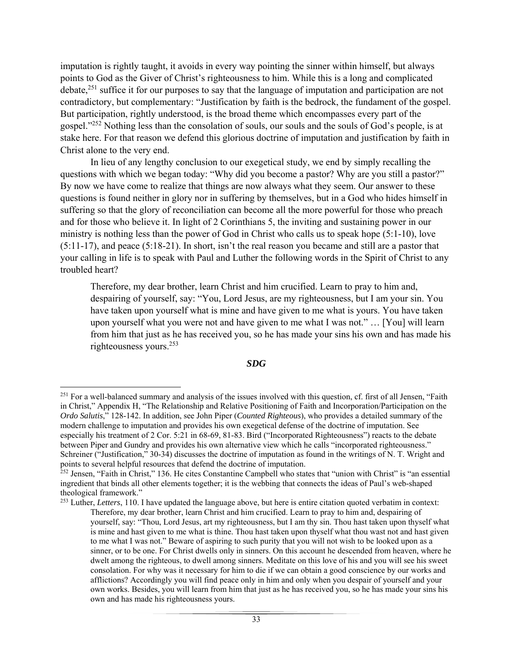imputation is rightly taught, it avoids in every way pointing the sinner within himself, but always points to God as the Giver of Christ's righteousness to him. While this is a long and complicated debate,<sup>251</sup> suffice it for our purposes to say that the language of imputation and participation are not contradictory, but complementary: "Justification by faith is the bedrock, the fundament of the gospel. But participation, rightly understood, is the broad theme which encompasses every part of the gospel."252 Nothing less than the consolation of souls, our souls and the souls of God's people, is at stake here. For that reason we defend this glorious doctrine of imputation and justification by faith in Christ alone to the very end.

 In lieu of any lengthy conclusion to our exegetical study, we end by simply recalling the questions with which we began today: "Why did you become a pastor? Why are you still a pastor?" By now we have come to realize that things are now always what they seem. Our answer to these questions is found neither in glory nor in suffering by themselves, but in a God who hides himself in suffering so that the glory of reconciliation can become all the more powerful for those who preach and for those who believe it. In light of 2 Corinthians 5, the inviting and sustaining power in our ministry is nothing less than the power of God in Christ who calls us to speak hope (5:1-10), love (5:11-17), and peace (5:18-21). In short, isn't the real reason you became and still are a pastor that your calling in life is to speak with Paul and Luther the following words in the Spirit of Christ to any troubled heart?

Therefore, my dear brother, learn Christ and him crucified. Learn to pray to him and, despairing of yourself, say: "You, Lord Jesus, are my righteousness, but I am your sin. You have taken upon yourself what is mine and have given to me what is yours. You have taken upon yourself what you were not and have given to me what I was not." … [You] will learn from him that just as he has received you, so he has made your sins his own and has made his righteousness yours.<sup>253</sup>

#### *SDG*

 $251$  For a well-balanced summary and analysis of the issues involved with this question, cf. first of all Jensen, "Faith" in Christ," Appendix H, "The Relationship and Relative Positioning of Faith and Incorporation/Participation on the *Ordo Salutis*," 128-142. In addition, see John Piper (*Counted Righteous*), who provides a detailed summary of the modern challenge to imputation and provides his own exegetical defense of the doctrine of imputation. See especially his treatment of 2 Cor. 5:21 in 68-69, 81-83. Bird ("Incorporated Righteousness") reacts to the debate between Piper and Gundry and provides his own alternative view which he calls "incorporated righteousness." Schreiner ("Justification," 30-34) discusses the doctrine of imputation as found in the writings of N. T. Wright and points to several helpful resources that defend the doctrine of imputation.

<sup>&</sup>lt;sup>252</sup> Jensen, "Faith in Christ," 136. He cites Constantine Campbell who states that "union with Christ" is "an essential ingredient that binds all other elements together; it is the webbing that connects the ideas of Paul's web-shaped theological framework."

<sup>253</sup> Luther, *Letters*, 110. I have updated the language above, but here is entire citation quoted verbatim in context: Therefore, my dear brother, learn Christ and him crucified. Learn to pray to him and, despairing of yourself, say: "Thou, Lord Jesus, art my righteousness, but I am thy sin. Thou hast taken upon thyself what is mine and hast given to me what is thine. Thou hast taken upon thyself what thou wast not and hast given to me what I was not." Beware of aspiring to such purity that you will not wish to be looked upon as a sinner, or to be one. For Christ dwells only in sinners. On this account he descended from heaven, where he dwelt among the righteous, to dwell among sinners. Meditate on this love of his and you will see his sweet consolation. For why was it necessary for him to die if we can obtain a good conscience by our works and afflictions? Accordingly you will find peace only in him and only when you despair of yourself and your own works. Besides, you will learn from him that just as he has received you, so he has made your sins his own and has made his righteousness yours.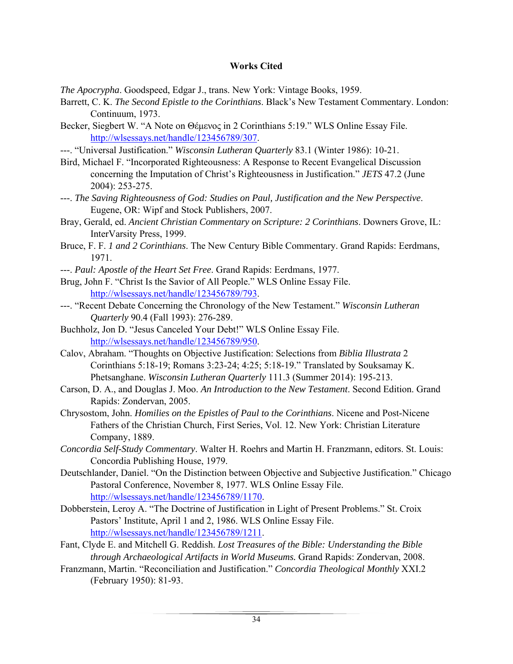### **Works Cited**

*The Apocrypha*. Goodspeed, Edgar J., trans. New York: Vintage Books, 1959.

- Barrett, C. K. *The Second Epistle to the Corinthians*. Black's New Testament Commentary. London: Continuum, 1973.
- Becker, Siegbert W. "A Note on Θέμενος in 2 Corinthians 5:19." WLS Online Essay File. http://wlsessays.net/handle/123456789/307.
- ---. "Universal Justification." *Wisconsin Lutheran Quarterly* 83.1 (Winter 1986): 10-21.
- Bird, Michael F. "Incorporated Righteousness: A Response to Recent Evangelical Discussion concerning the Imputation of Christ's Righteousness in Justification." *JETS* 47.2 (June 2004): 253-275.
- ---. *The Saving Righteousness of God: Studies on Paul, Justification and the New Perspective*. Eugene, OR: Wipf and Stock Publishers, 2007.
- Bray, Gerald, ed. *Ancient Christian Commentary on Scripture: 2 Corinthians*. Downers Grove, IL: InterVarsity Press, 1999.
- Bruce, F. F. *1 and 2 Corinthians*. The New Century Bible Commentary. Grand Rapids: Eerdmans, 1971.
- ---. *Paul: Apostle of the Heart Set Free*. Grand Rapids: Eerdmans, 1977.
- Brug, John F. "Christ Is the Savior of All People." WLS Online Essay File. http://wlsessays.net/handle/123456789/793.
- ---. "Recent Debate Concerning the Chronology of the New Testament." *Wisconsin Lutheran Quarterly* 90.4 (Fall 1993): 276-289.
- Buchholz, Jon D. "Jesus Canceled Your Debt!" WLS Online Essay File. http://wlsessays.net/handle/123456789/950.
- Calov, Abraham. "Thoughts on Objective Justification: Selections from *Biblia Illustrata* 2 Corinthians 5:18-19; Romans 3:23-24; 4:25; 5:18-19." Translated by Souksamay K. Phetsanghane. *Wisconsin Lutheran Quarterly* 111.3 (Summer 2014): 195-213.
- Carson, D. A., and Douglas J. Moo. *An Introduction to the New Testament*. Second Edition. Grand Rapids: Zondervan, 2005.
- Chrysostom, John. *Homilies on the Epistles of Paul to the Corinthians*. Nicene and Post-Nicene Fathers of the Christian Church, First Series, Vol. 12. New York: Christian Literature Company, 1889.
- *Concordia Self-Study Commentary*. Walter H. Roehrs and Martin H. Franzmann, editors. St. Louis: Concordia Publishing House, 1979.
- Deutschlander, Daniel. "On the Distinction between Objective and Subjective Justification." Chicago Pastoral Conference, November 8, 1977. WLS Online Essay File. http://wlsessays.net/handle/123456789/1170.
- Dobberstein, Leroy A. "The Doctrine of Justification in Light of Present Problems." St. Croix Pastors' Institute, April 1 and 2, 1986. WLS Online Essay File. http://wlsessays.net/handle/123456789/1211.
- Fant, Clyde E. and Mitchell G. Reddish. *Lost Treasures of the Bible: Understanding the Bible through Archaeological Artifacts in World Museums.* Grand Rapids: Zondervan, 2008.
- Franzmann, Martin. "Reconciliation and Justification." *Concordia Theological Monthly* XXI.2 (February 1950): 81-93.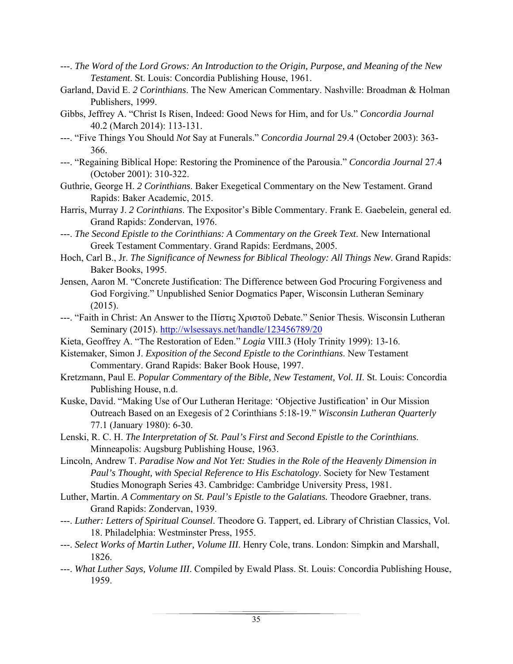- ---. *The Word of the Lord Grows: An Introduction to the Origin, Purpose, and Meaning of the New Testament*. St. Louis: Concordia Publishing House, 1961.
- Garland, David E. *2 Corinthians*. The New American Commentary. Nashville: Broadman & Holman Publishers, 1999.
- Gibbs, Jeffrey A. "Christ Is Risen, Indeed: Good News for Him, and for Us." *Concordia Journal* 40.2 (March 2014): 113-131.
- ---. "Five Things You Should *Not* Say at Funerals." *Concordia Journal* 29.4 (October 2003): 363- 366.
- ---. "Regaining Biblical Hope: Restoring the Prominence of the Parousia." *Concordia Journal* 27.4 (October 2001): 310-322.
- Guthrie, George H. *2 Corinthians*. Baker Exegetical Commentary on the New Testament. Grand Rapids: Baker Academic, 2015.
- Harris, Murray J. *2 Corinthians*. The Expositor's Bible Commentary. Frank E. Gaebelein, general ed. Grand Rapids: Zondervan, 1976.
- ---. *The Second Epistle to the Corinthians: A Commentary on the Greek Text*. New International Greek Testament Commentary. Grand Rapids: Eerdmans, 2005.
- Hoch, Carl B., Jr. *The Significance of Newness for Biblical Theology: All Things New*. Grand Rapids: Baker Books, 1995.
- Jensen, Aaron M. "Concrete Justification: The Difference between God Procuring Forgiveness and God Forgiving." Unpublished Senior Dogmatics Paper, Wisconsin Lutheran Seminary (2015).
- ---. "Faith in Christ: An Answer to the Πίστις Χριστοῦ Debate." Senior Thesis. Wisconsin Lutheran Seminary (2015). http://wlsessays.net/handle/123456789/20
- Kieta, Geoffrey A. "The Restoration of Eden." *Logia* VIII.3 (Holy Trinity 1999): 13-16.
- Kistemaker, Simon J. *Exposition of the Second Epistle to the Corinthians*. New Testament Commentary. Grand Rapids: Baker Book House, 1997.
- Kretzmann, Paul E. *Popular Commentary of the Bible, New Testament, Vol. II*. St. Louis: Concordia Publishing House, n.d.
- Kuske, David. "Making Use of Our Lutheran Heritage: 'Objective Justification' in Our Mission Outreach Based on an Exegesis of 2 Corinthians 5:18-19." *Wisconsin Lutheran Quarterly* 77.1 (January 1980): 6-30.
- Lenski, R. C. H. *The Interpretation of St. Paul's First and Second Epistle to the Corinthians*. Minneapolis: Augsburg Publishing House, 1963.
- Lincoln, Andrew T. *Paradise Now and Not Yet: Studies in the Role of the Heavenly Dimension in Paul's Thought, with Special Reference to His Eschatology*. Society for New Testament Studies Monograph Series 43. Cambridge: Cambridge University Press, 1981.
- Luther, Martin. *A Commentary on St. Paul's Epistle to the Galatians.* Theodore Graebner, trans. Grand Rapids: Zondervan, 1939.
- ---. *Luther: Letters of Spiritual Counsel*. Theodore G. Tappert, ed. Library of Christian Classics, Vol. 18. Philadelphia: Westminster Press, 1955.
- ---. *Select Works of Martin Luther, Volume III*. Henry Cole, trans. London: Simpkin and Marshall, 1826.
- ---. *What Luther Says, Volume III*. Compiled by Ewald Plass. St. Louis: Concordia Publishing House, 1959.